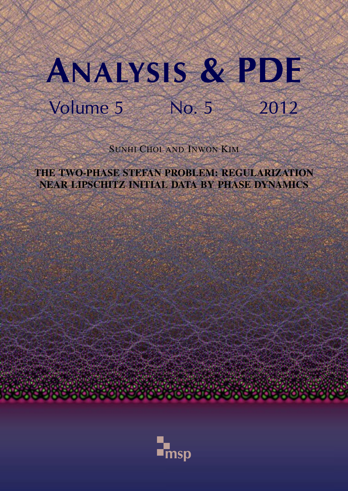# ANALYSIS & PDE Volume 5 No. 5 2012

SUNHI CHOI AND INWON KIM

THE TWO-PHASE STEFAN PROBLEM: REGULARIZATION NEAR LIPSCHITZ INITIAL DATA BY PHASE DYNAMICS

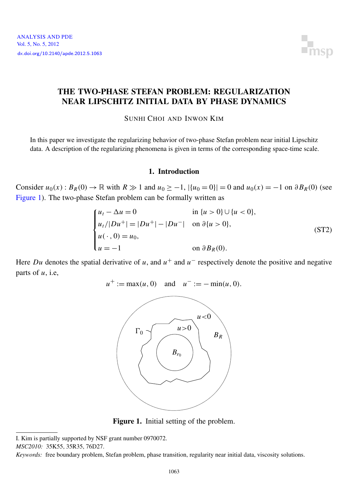

#### <span id="page-1-0"></span>THE TWO-PHASE STEFAN PROBLEM: REGULARIZATION NEAR LIPSCHITZ INITIAL DATA BY PHASE DYNAMICS

SUNHI CHOI AND INWON KIM

In this paper we investigate the regularizing behavior of two-phase Stefan problem near initial Lipschitz data. A description of the regularizing phenomena is given in terms of the corresponding space-time scale.

#### 1. Introduction

Consider  $u_0(x): B_R(0) \to \mathbb{R}$  with  $R \gg 1$  and  $u_0 \ge -1$ ,  $|\{u_0 = 0\}| = 0$  and  $u_0(x) = -1$  on  $\partial B_R(0)$  (see [Figure 1\)](#page-1-1). The two-phase Stefan problem can be formally written as

<span id="page-1-2"></span>
$$
\begin{cases}\n u_t - \Delta u = 0 & \text{in } \{u > 0\} \cup \{u < 0\}, \\
 u_t / |Du^+| = |Du^+| - |Du^-| & \text{on } \partial\{u > 0\}, \\
 u(\cdot, 0) = u_0, & \text{on } \partial B_R(0).\n\end{cases}
$$
\n(ST2)

<span id="page-1-1"></span>Here *Du* denotes the spatial derivative of *u*, and  $u^+$  and  $u^-$  respectively denote the positive and negative parts of *u*, i.e,

 $u^+ := \max(u, 0)$  and  $u^- := -\min(u, 0)$ .



Figure 1. Initial setting of the problem.

I. Kim is partially supported by NSF grant number 0970072.

*MSC2010:* 35K55, 35R35, 76D27.

*Keywords:* free boundary problem, Stefan problem, phase transition, regularity near initial data, viscosity solutions.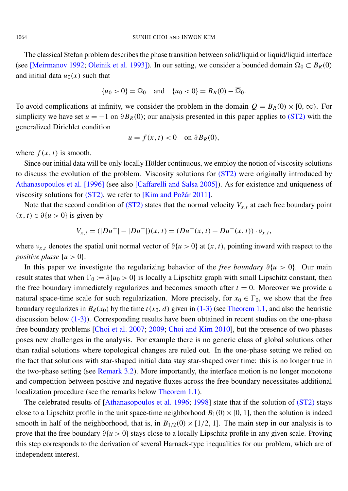The classical Stefan problem describes the phase transition between solid/liquid or liquid/liquid interface (see [\[Meirmanov 1992;](#page-41-0) [Oleinik et al. 1993\]](#page-41-1)). In our setting, we consider a bounded domain  $\Omega_0 \subset B_R(0)$ and initial data  $u_0(x)$  such that

$$
{u_0 > 0} = \Omega_0
$$
 and  ${u_0 < 0} = B_R(0) - \overline{\Omega}_0$ .

To avoid complications at infinity, we consider the problem in the domain  $Q = B_R(0) \times [0, \infty)$ . For simplicity we have set  $u = -1$  on  $\partial B_R(0)$ ; our analysis presented in this paper applies to [\(ST2\)](#page-1-2) with the generalized Dirichlet condition

$$
u = f(x, t) < 0 \quad \text{on } \partial B_R(0),
$$

where  $f(x, t)$  is smooth.

Since our initial data will be only locally Hölder continuous, we employ the notion of viscosity solutions to discuss the evolution of the problem. Viscosity solutions for [\(ST2\)](#page-1-2) were originally introduced by [Athanasopoulos et al.](#page-40-0) [1996] (see also [\[Caffarelli and Salsa 2005\]](#page-40-1)). As for existence and uniqueness of viscosity solutions for [\(ST2\),](#page-1-2) we refer to [\[Kim and Požár 2011\]](#page-40-2).

Note that the second condition of [\(ST2\)](#page-1-2) states that the normal velocity  $V_{x,t}$  at each free boundary point  $(x, t) ∈ ∂{u > 0}$  is given by

$$
V_{x,t} = (|Du^+| - |Du^-|)(x,t) = (Du^+(x,t) - Du^-(x,t)) \cdot v_{x,t},
$$

where  $v_{x,t}$  denotes the spatial unit normal vector of  $\partial \{u > 0\}$  at  $(x, t)$ , pointing inward with respect to the *positive phase*  $\{u > 0\}.$ 

In this paper we investigate the regularizing behavior of the *free boundary* ∂{*u* > 0}. Our main result states that when  $\Gamma_0 := \partial \{u_0 > 0\}$  is locally a Lipschitz graph with small Lipschitz constant, then the free boundary immediately regularizes and becomes smooth after  $t = 0$ . Moreover we provide a natural space-time scale for such regularization. More precisely, for  $x_0 \in \Gamma_0$ , we show that the free boundary regularizes in  $B_d(x_0)$  by the time  $t(x_0, d)$  given in [\(1-3\)](#page-4-0) (see [Theorem 1.1,](#page-4-1) and also the heuristic discussion below  $(1-3)$ ). Corresponding results have been obtained in recent studies on the one-phase free boundary problems [\[Choi et al. 2007;](#page-40-3) [2009;](#page-40-4) [Choi and Kim 2010\]](#page-40-5), but the presence of two phases poses new challenges in the analysis. For example there is no generic class of global solutions other than radial solutions where topological changes are ruled out. In the one-phase setting we relied on the fact that solutions with star-shaped initial data stay star-shaped over time: this is no longer true in the two-phase setting (see [Remark 3.2\)](#page-14-0). More importantly, the interface motion is no longer monotone and competition between positive and negative fluxes across the free boundary necessitates additional localization procedure (see the remarks below [Theorem 1.1\)](#page-4-1).

The celebrated results of [\[Athanasopoulos et al. 1996;](#page-40-0) [1998\]](#page-40-6) state that if the solution of [\(ST2\)](#page-1-2) stays close to a Lipschitz profile in the unit space-time neighborhood  $B_1(0) \times [0, 1]$ , then the solution is indeed smooth in half of the neighborhood, that is, in  $B_{1/2}(0) \times [1/2, 1]$ . The main step in our analysis is to prove that the free boundary ∂{*u* > 0} stays close to a locally Lipschitz profile in any given scale. Proving this step corresponds to the derivation of several Harnack-type inequalities for our problem, which are of independent interest.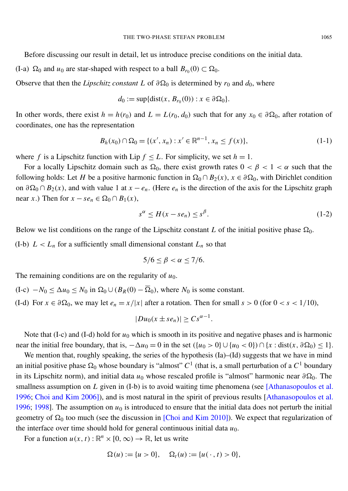Before discussing our result in detail, let us introduce precise conditions on the initial data.

(I-a)  $\Omega_0$  and  $u_0$  are star-shaped with respect to a ball  $B_{r_0}(0) \subset \Omega_0$ .

Observe that then the *Lipschitz constant L* of  $\partial \Omega_0$  is determined by  $r_0$  and  $d_0$ , where

<span id="page-3-1"></span>
$$
d_0 := \sup\{\text{dist}(x, B_{r_0}(0)) : x \in \partial \Omega_0\}.
$$

In other words, there exist  $h = h(r_0)$  and  $L = L(r_0, d_0)$  such that for any  $x_0 \in \partial \Omega_0$ , after rotation of coordinates, one has the representation

$$
B_h(x_0) \cap \Omega_0 = \{ (x', x_n) : x' \in \mathbb{R}^{n-1}, x_n \le f(x) \},\tag{1-1}
$$

where *f* is a Lipschitz function with Lip  $f \leq L$ . For simplicity, we set  $h = 1$ .

For a locally Lipschitz domain such as  $\Omega_0$ , there exist growth rates  $0 < \beta < 1 < \alpha$  such that the following holds: Let *H* be a positive harmonic function in  $\Omega_0 \cap B_2(x)$ ,  $x \in \partial \Omega_0$ , with Dirichlet condition on  $\partial \Omega_0 \cap B_2(x)$ , and with value 1 at  $x - e_n$ . (Here  $e_n$  is the direction of the axis for the Lipschitz graph near *x*.) Then for  $x - se_n \in \Omega_0 \cap B_1(x)$ ,

<span id="page-3-0"></span>
$$
s^{\alpha} \le H(x - s e_n) \le s^{\beta}.
$$
 (1-2)

Below we list conditions on the range of the Lipschitz constant *L* of the initial positive phase  $\Omega_0$ .

(I-b)  $L < L_n$  for a sufficiently small dimensional constant  $L_n$  so that

$$
5/6 \leq \beta < \alpha \leq 7/6.
$$

The remaining conditions are on the regularity of  $u_0$ .

 $(I-c)$  −*N*<sub>0</sub> ≤  $\Delta u_0$  ≤ *N*<sub>0</sub> in  $\Omega_0 \cup (B_R(0) - \overline{\Omega}_0)$ , where *N*<sub>0</sub> is some constant.

(I-d) For  $x \in \partial \Omega_0$ , we may let  $e_n = x/|x|$  after a rotation. Then for small  $s > 0$  (for  $0 < s < 1/10$ ),

$$
|Du_0(x \pm s e_n)| \geq Cs^{\alpha-1}.
$$

Note that (I-c) and (I-d) hold for  $u_0$  which is smooth in its positive and negative phases and is harmonic near the initial free boundary, that is,  $-\Delta u_0 = 0$  in the set  $({u_0 > 0} \cup {u_0 < 0}) \cap {x : dist(x, \partial \Omega_0) \le 1}.$ 

We mention that, roughly speaking, the series of the hypothesis (Ia)–(Id) suggests that we have in mind an initial positive phase  $\Omega_0$  whose boundary is "almost"  $C^1$  (that is, a small perturbation of a  $C^1$  boundary in its Lipschitz norm), and initial data  $u_0$  whose rescaled profile is "almost" harmonic near  $\partial \Omega_0$ . The smallness assumption on *L* given in (I-b) is to avoid waiting time phenomena (see [\[Athanasopoulos et al.](#page-40-0) [1996;](#page-40-0) [Choi and Kim 2006\]](#page-40-7)), and is most natural in the spirit of previous results [\[Athanasopoulos et al.](#page-40-0) [1996;](#page-40-0) [1998\]](#page-40-6). The assumption on  $u_0$  is introduced to ensure that the initial data does not perturb the initial geometry of  $\Omega_0$  too much (see the discussion in [\[Choi and Kim 2010\]](#page-40-5)). We expect that regularization of the interface over time should hold for general continuous initial data  $u_0$ .

For a function  $u(x, t)$ :  $\mathbb{R}^n \times [0, \infty) \to \mathbb{R}$ , let us write

$$
\Omega(u) := \{u > 0\}, \quad \Omega_t(u) := \{u(\cdot, t) > 0\},\
$$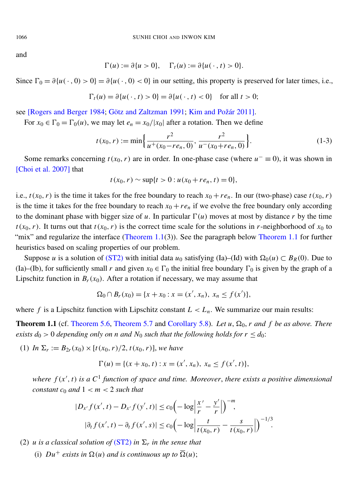and

$$
\Gamma(u) := \partial\{u > 0\}, \quad \Gamma_t(u) := \partial\{u(\cdot, t) > 0\}.
$$

Since  $\Gamma_0 = \partial \{u(\cdot, 0) > 0\} = \partial \{u(\cdot, 0) < 0\}$  in our setting, this property is preserved for later times, i.e.,

$$
\Gamma_t(u) = \partial\{u(\cdot, t) > 0\} = \partial\{u(\cdot, t) < 0\} \quad \text{for all } t > 0;
$$

see [\[Rogers and Berger 1984;](#page-41-2) [Götz and Zaltzman 1991;](#page-40-8) [Kim and Požár 2011\]](#page-40-2).

For  $x_0 \in \Gamma_0 = \Gamma_0(u)$ , we may let  $e_n = x_0/|x_0|$  after a rotation. Then we define

$$
t(x_0, r) := \min\left\{\frac{r^2}{u^+(x_0 - r e_n, 0)}, \frac{r^2}{u^-(x_0 + r e_n, 0)}\right\}.
$$
 (1-3)

Some remarks concerning  $t(x_0, r)$  are in order. In one-phase case (where  $u^- \equiv 0$ ), it was shown in [\[Choi et al. 2007\]](#page-40-3) that

<span id="page-4-0"></span>
$$
t(x_0, r) \sim \sup\{t > 0 : u(x_0 + re_n, t) = 0\},\
$$

i.e.,  $t(x_0, r)$  is the time it takes for the free boundary to reach  $x_0 + r e_n$ . In our (two-phase) case  $t(x_0, r)$ is the time it takes for the free boundary to reach  $x_0 + r e_n$  if we evolve the free boundary only according to the dominant phase with bigger size of *u*. In particular  $\Gamma(u)$  moves at most by distance *r* by the time  $t(x_0, r)$ . It turns out that  $t(x_0, r)$  is the correct time scale for the solutions in *r*-neighborhood of  $x_0$  to "mix" and regularize the interface [\(Theorem 1.1\(](#page-4-1)3)). See the paragraph below [Theorem 1.1](#page-4-1) for further heuristics based on scaling properties of our problem.

Suppose *u* is a solution of [\(ST2\)](#page-1-2) with initial data *u*<sub>0</sub> satisfying (Ia)–(Id) with  $\Omega_0(u) \subset B_R(0)$ . Due to (Ia)–(Ib), for sufficiently small *r* and given  $x_0 \in \Gamma_0$  the initial free boundary  $\Gamma_0$  is given by the graph of a Lipschitz function in  $B_r(x_0)$ . After a rotation if necessary, we may assume that

$$
\Omega_0 \cap B_r(x_0) = \{x + x_0 : x = (x', x_n), x_n \le f(x')\},\
$$

where *f* is a Lipschitz function with Lipschitz constant  $L < L_n$ . We summarize our main results:

<span id="page-4-1"></span>**Theorem 1.1** (cf. [Theorem 5.6,](#page-37-0) [Theorem 5.7](#page-37-1) and [Corollary 5.8\)](#page-37-2). Let  $u$ ,  $\Omega_0$ ,  $r$  and  $f$  be as above. There *exists*  $d_0 > 0$  *depending only on n and N*<sup>0</sup> *such that the following holds for*  $r \leq d_0$ *:* 

(1) *In*  $\Sigma_r := B_{2r}(x_0) \times [t(x_0, r)/2, t(x_0, r)]$ , we have

$$
\Gamma(u) = \{ (x + x_0, t) : x = (x', x_n), x_n \le f(x', t) \},
$$

where  $f(x', t)$  is a  $C^1$  function of space and time. Moreover, there exists a positive dimensional *constant*  $c_0$  *and*  $1 < m < 2$  *such that* 

$$
|D_{x'}f(x',t) - D_{x'}f(y',t)| \le c_0 \left( -\log \left| \frac{x'}{r} - \frac{y'}{r} \right| \right)^{-m},
$$
  

$$
|\partial_t f(x',t) - \partial_t f(x',s)| \le c_0 \left( -\log \left| \frac{t}{t(x_0,r)} - \frac{s}{t(x_0,r)} \right| \right)^{-1/3}.
$$

(2) *u* is a classical solution of  $(ST2)$  in  $\Sigma_r$  in the sense that

(i)  $Du^+$  *exists in*  $\Omega(u)$  *and is continuous up to*  $\overline{\Omega}(u)$ ;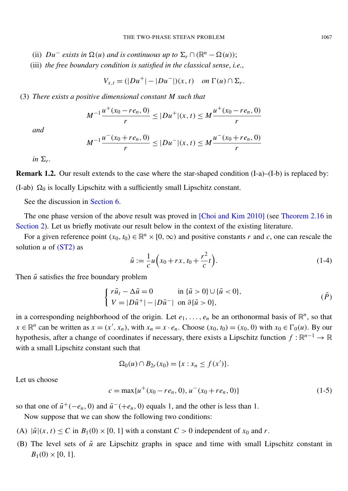- (ii)  $Du^-$  *exists in*  $\Omega(u)$  *and is continuous up to*  $\Sigma_r \cap (\mathbb{R}^n \Omega(u));$
- (iii) *the free boundary condition is satisfied in the classical sense*, *i.e.*,

$$
V_{x,t} = (|Du^+| - |Du^-|)(x,t) \quad on \ \Gamma(u) \cap \Sigma_r.
$$

(3) *There exists a positive dimensional constant M such that*

$$
M^{-1}\frac{u^+(x_0-re_n,0)}{r} \le |Du^+|(x,t) \le M\frac{u^+(x_0-re_n,0)}{r}
$$

*and*

$$
M^{-1}\frac{u^-(x_0+re_n,0)}{r} \le |Du^-|(x,t) \le M\frac{u^-(x_0+re_n,0)}{r}
$$

*in*  $\Sigma_r$ .

Remark 1.2. Our result extends to the case where the star-shaped condition (I-a)–(I-b) is replaced by: (I-ab)  $\Omega_0$  is locally Lipschitz with a sufficiently small Lipschitz constant.

See the discussion in [Section 6.](#page-37-3)

The one phase version of the above result was proved in [\[Choi and Kim 2010\]](#page-40-5) (see [Theorem 2.16](#page-11-0) in [Section 2\)](#page-7-0). Let us briefly motivate our result below in the context of the existing literature.

For a given reference point  $(x_0, t_0) \in \mathbb{R}^n \times [0, \infty)$  and positive constants *r* and *c*, one can rescale the solution  $u$  of  $(ST2)$  as

<span id="page-5-3"></span>
$$
\tilde{u} := \frac{1}{c} u \left( x_0 + rx, t_0 + \frac{r^2}{c} t \right).
$$
\n(1-4)

Then  $\tilde{u}$  satisfies the free boundary problem

$$
\begin{cases}\n r\tilde{u}_t - \Delta \tilde{u} = 0 & \text{in } \{\tilde{u} > 0\} \cup \{\tilde{u} < 0\}, \\
 V = |D\tilde{u}^+| - |D\tilde{u}^-| & \text{on } \partial\{\tilde{u} > 0\},\n\end{cases} \tag{P}
$$

in a corresponding neighborhood of the origin. Let  $e_1, \ldots, e_n$  be an orthonormal basis of  $\mathbb{R}^n$ , so that  $x \in \mathbb{R}^n$  can be written as  $x = (x', x_n)$ , with  $x_n = x \cdot e_n$ . Choose  $(x_0, t_0) = (x_0, 0)$  with  $x_0 \in \Gamma_0(u)$ . By our hypothesis, after a change of coordinates if necessary, there exists a Lipschitz function  $f : \mathbb{R}^{n-1} \to \mathbb{R}$ with a small Lipschitz constant such that

$$
\Omega_0(u) \cap B_{2r}(x_0) = \{x : x_n \le f(x')\}.
$$

<span id="page-5-2"></span>Let us choose

$$
c = \max\{u^+(x_0 - re_n, 0), u^-(x_0 + re_n, 0)\}\tag{1-5}
$$

so that one of  $\tilde{u}^+(-e_n, 0)$  and  $\tilde{u}^-(+e_n, 0)$  equals 1, and the other is less than 1.

Now suppose that we can show the following two conditions:

- <span id="page-5-1"></span>(A)  $|\tilde{u}|(x, t) \leq C$  in  $B_1(0) \times [0, 1]$  with a constant  $C > 0$  independent of  $x_0$  and  $r$ .
- <span id="page-5-0"></span>(B) The level sets of  $\tilde{u}$  are Lipschitz graphs in space and time with small Lipschitz constant in  $B_1(0) \times [0, 1].$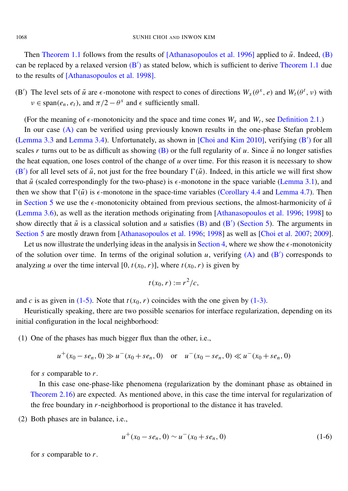Then [Theorem 1.1](#page-4-1) follows from the results of [\[Athanasopoulos et al. 1996\]](#page-40-0) applied to  $\tilde{u}$ . Indeed, [\(B\)](#page-5-0) can be replaced by a relaxed version  $(B')$  $(B')$  as stated below, which is sufficient to derive [Theorem 1.1](#page-4-1) due to the results of [\[Athanasopoulos et al. 1998\]](#page-40-6).

<span id="page-6-0"></span>(B<sup>'</sup>) The level sets of  $\tilde{u}$  are  $\epsilon$ -monotone with respect to cones of directions  $W_x(\theta^x, e)$  and  $W_t(\theta^t, v)$  with  $v \in \text{span}(e_n, e_t)$ , and  $\pi/2 - \theta^x$  and  $\epsilon$  sufficiently small.

(For the meaning of  $\epsilon$ -monotonicity and the space and time cones  $W_x$  and  $W_t$ , see [Definition 2.1.](#page-8-0))

In our case [\(A\)](#page-5-1) can be verified using previously known results in the one-phase Stefan problem [\(Lemma 3.3](#page-15-0) and [Lemma 3.4\)](#page-15-1). Unfortunately, as shown in [\[Choi and Kim 2010\]](#page-40-5), verifying [\(B](#page-6-0)') for all scales *r* turns out to be as difficult as showing [\(B\)](#page-5-0) or the full regularity of *u*. Since  $\tilde{u}$  no longer satisfies the heat equation, one loses control of the change of *u* over time. For this reason it is necessary to show [\(B](#page-6-0)<sup>'</sup>) for all level sets of  $\tilde{u}$ , not just for the free boundary  $\Gamma(\tilde{u})$ . Indeed, in this article we will first show that  $\tilde{u}$  (scaled correspondingly for the two-phase) is  $\epsilon$ -monotone in the space variable [\(Lemma 3.1\)](#page-12-0), and then we show that  $\Gamma(\tilde{u})$  is  $\epsilon$ -monotone in the space-time variables [\(Corollary 4.4](#page-29-0) and [Lemma 4.7\)](#page-32-0). Then in [Section 5](#page-33-0) we use the  $\epsilon$ -monotonicity obtained from previous sections, the almost-harmonicity of  $\tilde{u}$ [\(Lemma 3.6\)](#page-17-0), as well as the iteration methods originating from [\[Athanasopoulos et al. 1996;](#page-40-0) [1998\]](#page-40-6) to show directly that  $\tilde{u}$  is a classical solution and *u* satisfies [\(B\)](#page-5-0) and [\(B](#page-6-0)<sup>'</sup>) [\(Section 5\)](#page-33-0). The arguments in [Section 5](#page-33-0) are mostly drawn from [\[Athanasopoulos et al. 1996;](#page-40-0) [1998\]](#page-40-6) as well as [\[Choi et al. 2007;](#page-40-3) [2009\]](#page-40-4).

Let us now illustrate the underlying ideas in the analysis in [Section 4,](#page-27-0) where we show the  $\epsilon$ -monotonicity of the solution over time. In terms of the original solution  $u$ , verifying  $(A)$  and  $(B')$  $(B')$  corresponds to analyzing *u* over the time interval [0,  $t(x_0, r)$ ], where  $t(x_0, r)$  is given by

$$
t(x_0,r):=r^2/c,
$$

and *c* is as given in [\(1-5\).](#page-5-2) Note that  $t(x_0, r)$  coincides with the one given by [\(1-3\).](#page-4-0)

Heuristically speaking, there are two possible scenarios for interface regularization, depending on its initial configuration in the local neighborhood:

(1) One of the phases has much bigger flux than the other, i.e.,

$$
u^+(x_0 - s e_n, 0) \gg u^-(x_0 + s e_n, 0)
$$
 or  $u^-(x_0 - s e_n, 0) \ll u^-(x_0 + s e_n, 0)$ 

for *s* comparable to *r*.

In this case one-phase-like phenomena (regularization by the dominant phase as obtained in [Theorem 2.16\)](#page-11-0) are expected. As mentioned above, in this case the time interval for regularization of the free boundary in *r*-neighborhood is proportional to the distance it has traveled.

(2) Both phases are in balance, i.e.,

<span id="page-6-1"></span>
$$
u^+(x_0 - s e_n, 0) \sim u^-(x_0 + s e_n, 0) \tag{1-6}
$$

for *s* comparable to *r*.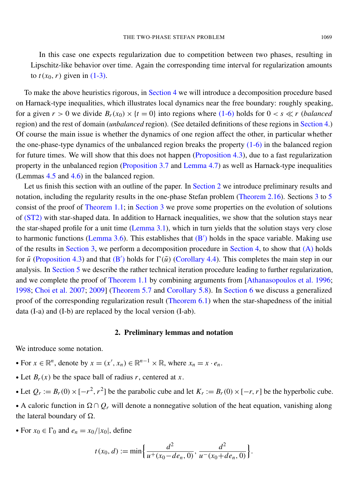In this case one expects regularization due to competition between two phases, resulting in Lipschitz-like behavior over time. Again the corresponding time interval for regularization amounts to  $t(x_0, r)$  given in [\(1-3\).](#page-4-0)

To make the above heuristics rigorous, in [Section 4](#page-27-0) we will introduce a decomposition procedure based on Harnack-type inequalities, which illustrates local dynamics near the free boundary: roughly speaking, for a given  $r > 0$  we divide  $B_r(x_0) \times \{t = 0\}$  into regions where [\(1-6\)](#page-6-1) holds for  $0 < s \ll r$  (*balanced* region) and the rest of domain (*unbalanced* region). (See detailed definitions of these regions in [Section 4.](#page-27-0)) Of course the main issue is whether the dynamics of one region affect the other, in particular whether the one-phase-type dynamics of the unbalanced region breaks the property [\(1-6\)](#page-6-1) in the balanced region for future times. We will show that this does not happen [\(Proposition 4.3\)](#page-29-1), due to a fast regularization property in the unbalanced region [\(Proposition 3.7](#page-22-0) and [Lemma 4.7\)](#page-32-0) as well as Harnack-type inequalities (Lemmas [4.5](#page-30-0) and [4.6\)](#page-31-0) in the balanced region.

Let us finish this section with an outline of the paper. In [Section 2](#page-7-0) we introduce preliminary results and notation, including the regularity results in the one-phase Stefan problem [\(Theorem 2.16\)](#page-11-0). Sections [3](#page-12-1) to [5](#page-33-0) consist of the proof of [Theorem 1.1;](#page-4-1) in [Section 3](#page-12-1) we prove some properties on the evolution of solutions of [\(ST2\)](#page-1-2) with star-shaped data. In addition to Harnack inequalities, we show that the solution stays near the star-shaped profile for a unit time [\(Lemma 3.1\)](#page-12-0), which in turn yields that the solution stays very close to harmonic functions [\(Lemma 3.6\)](#page-17-0). This establishes that  $(B')$  $(B')$  holds in the space variable. Making use of the results in [Section 3,](#page-12-1) we perform a decomposition procedure in [Section 4,](#page-27-0) to show that [\(A\)](#page-5-1) holds for  $\tilde{u}$  [\(Proposition 4.3\)](#page-29-1) and that [\(B](#page-6-0)<sup>'</sup>) holds for  $\Gamma(\tilde{u})$  [\(Corollary 4.4\)](#page-29-0). This completes the main step in our analysis. In [Section 5](#page-33-0) we describe the rather technical iteration procedure leading to further regularization, and we complete the proof of [Theorem 1.1](#page-4-1) by combining arguments from [\[Athanasopoulos et al. 1996;](#page-40-0) [1998;](#page-40-6) [Choi et al. 2007;](#page-40-3) [2009\]](#page-40-4) [\(Theorem 5.7](#page-37-1) and [Corollary 5.8\)](#page-37-2). In [Section 6](#page-37-3) we discuss a generalized proof of the corresponding regularization result [\(Theorem 6.1\)](#page-37-4) when the star-shapedness of the initial data (I-a) and (I-b) are replaced by the local version (I-ab).

#### 2. Preliminary lemmas and notation

<span id="page-7-0"></span>We introduce some notation.

- For  $x \in \mathbb{R}^n$ , denote by  $x = (x', x_n) \in \mathbb{R}^{n-1} \times \mathbb{R}$ , where  $x_n = x \cdot e_n$ .
- Let  $B_r(x)$  be the space ball of radius *r*, centered at *x*.
- Let  $Q_r := B_r(0) \times [-r^2, r^2]$  be the parabolic cube and let  $K_r := B_r(0) \times [-r, r]$  be the hyperbolic cube.

• A caloric function in  $\Omega \cap Q_r$  will denote a nonnegative solution of the heat equation, vanishing along the lateral boundary of  $\Omega$ .

• For  $x_0 \in \Gamma_0$  and  $e_n = x_0/|x_0|$ , define

$$
t(x_0, d) := \min\left\{\frac{d^2}{u^+(x_0 - de_n, 0)}, \frac{d^2}{u^-(x_0 + de_n, 0)}\right\}.
$$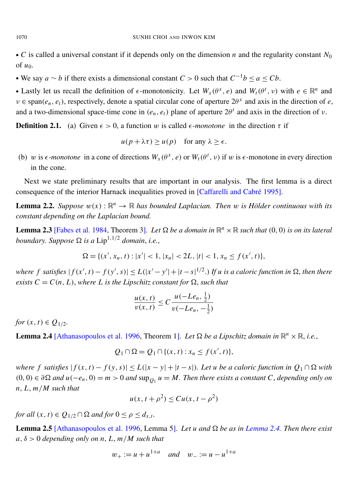• *C* is called a universal constant if it depends only on the dimension *n* and the regularity constant  $N_0$ of *u*0.

• We say  $a \sim b$  if there exists a dimensional constant  $C > 0$  such that  $C^{-1}b \le a \le Cb$ .

• Lastly let us recall the definition of  $\epsilon$ -monotonicity. Let  $W_x(\theta^x, e)$  and  $W_t(\theta^t, v)$  with  $e \in \mathbb{R}^n$  and  $v \in \text{span}(e_n, e_t)$ , respectively, denote a spatial circular cone of aperture  $2\theta^x$  and axis in the direction of *e*, and a two-dimensional space-time cone in  $(e_n, e_t)$  plane of aperture  $2\theta^t$  and axis in the direction of  $\nu$ .

<span id="page-8-0"></span>**Definition 2.1.** (a) Given  $\epsilon > 0$ , a function w is called  $\epsilon$ -monotone in the direction  $\tau$  if

$$
u(p + \lambda \tau) \ge u(p)
$$
 for any  $\lambda \ge \epsilon$ .

(b) w is  $\epsilon$ -monotone in a cone of directions  $W_x(\theta^x, e)$  or  $W_t(\theta^t, v)$  if w is  $\epsilon$ -monotone in every direction in the cone.

Next we state preliminary results that are important in our analysis. The first lemma is a direct consequence of the interior Harnack inequalities proved in [\[Caffarelli and Cabré 1995\]](#page-40-9).

**Lemma 2.2.** *Suppose*  $w(x): \mathbb{R}^n \to \mathbb{R}$  *has bounded Laplacian. Then* w *is Hölder continuous with its constant depending on the Laplacian bound.*

**Lemma 2.3** [\[Fabes et al. 1984,](#page-40-10) Theorem 3]. Let  $\Omega$  be a domain in  $\mathbb{R}^n \times \mathbb{R}$  such that  $(0, 0)$  is on its lateral *boundary. Suppose*  $\Omega$  *is a* Lip<sup>1,1/2</sup> *domain, i.e.,* 

$$
\Omega = \{(x', x_n, t) : |x'| < 1, |x_n| < 2L, |t| < 1, x_n \le f(x', t)\},
$$

where f satisfies  $|f(x',t) - f(y',s)| \le L(|x'-y'| + |t-s|^{1/2})$  If u is a caloric function in  $\Omega$ , then there *exists*  $C = C(n, L)$ , *where L is the Lipschitz constant for*  $\Omega$ , *such that* 

$$
\frac{u(x,t)}{v(x,t)} \le C \frac{u(-Le_n, \frac{1}{2})}{v(-Le_n, -\frac{1}{2})}
$$

*for*  $(x, t) \in Q_{1/2}$ *.* 

<span id="page-8-1"></span>**Lemma 2.4** [\[Athanasopoulos et al. 1996,](#page-40-0) Theorem 1]. Let  $\Omega$  be a Lipschitz domain in  $\mathbb{R}^n \times \mathbb{R}$ , i.e.,

$$
Q_1 \cap \Omega = Q_1 \cap \{(x, t) : x_n \le f(x', t)\},\
$$

where f satisfies  $|f(x, t) - f(y, s)| \le L(|x - y| + |t - s|)$ . Let u be a caloric function in  $Q_1 \cap \Omega$  with  $(0, 0) ∈ ∂Ω$  *and*  $u(-e_n, 0) = m > 0$  *and*  $\sup_{Q_1} u = M$ . Then there exists a constant *C*, *depending only on n*, *L*, *m*/*M such that*

$$
u(x, t + \rho^2) \le C u(x, t - \rho^2)
$$

*for all*  $(x, t) \in Q_{1/2} \cap \Omega$  *and for*  $0 \le \rho \le d_{x,t}$ *.* 

<span id="page-8-2"></span>Lemma 2.5 [\[Athanasopoulos et al. 1996,](#page-40-0) Lemma 5]. *Let u and be as in [Lemma 2.4.](#page-8-1) Then there exist*  $a, \delta > 0$  *depending only on n, L, m/M such that* 

$$
w_+ := u + u^{1+a}
$$
 and  $w_- := u - u^{1+a}$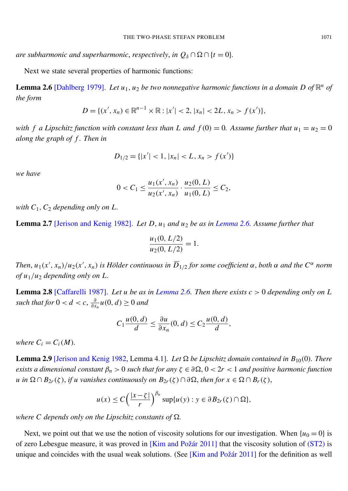*are subharmonic and superharmonic, respectively, in*  $Q_{\delta} \cap \Omega \cap \{t = 0\}$ *.* 

Next we state several properties of harmonic functions:

<span id="page-9-0"></span>**Lemma 2.6** [\[Dahlberg 1979\]](#page-40-11). Let  $u_1, u_2$  be two nonnegative harmonic functions in a domain D of  $\mathbb{R}^n$  of *the form*

$$
D = \{(x', x_n) \in \mathbb{R}^{n-1} \times \mathbb{R} : |x'| < 2, |x_n| < 2L, x_n > f(x')\},
$$

*with f a Lipschitz function with constant less than L and*  $f(0) = 0$ *. Assume further that*  $u_1 = u_2 = 0$ *along the graph of f . Then in*

$$
D_{1/2} = \{ |x'| < 1, |x_n| < L, x_n > f(x') \}
$$

*we have*

$$
0 < C_1 \le \frac{u_1(x', x_n)}{u_2(x', x_n)} \cdot \frac{u_2(0, L)}{u_1(0, L)} \le C_2,
$$

*with*  $C_1$ ,  $C_2$  *depending only on L.* 

<span id="page-9-1"></span>Lemma 2.7 [\[Jerison and Kenig 1982\]](#page-40-12). *Let D*, *u*<sup>1</sup> *and u*<sup>2</sup> *be as in [Lemma 2.6.](#page-9-0) Assume further that*

$$
\frac{u_1(0, L/2)}{u_2(0, L/2)} = 1.
$$

*Then,*  $u_1(x', x_n)/u_2(x', x_n)$  is Hölder continuous in  $\overline{D}_{1/2}$  for some coefficient  $\alpha$ , both  $\alpha$  and the  $C^{\alpha}$  norm *of u*1/*u*<sup>2</sup> *depending only on L.*

**Lemma 2.8** [\[Caffarelli 1987\]](#page-40-13). Let *u* be as in *[Lemma 2.6.](#page-9-0)* Then there exists  $c > 0$  depending only on *L such that for*  $0 < d < c$ ,  $\frac{\partial}{\partial x}$  $\frac{\partial}{\partial x_n} u(0, d) \geq 0$  and

$$
C_1 \frac{u(0, d)}{d} \le \frac{\partial u}{\partial x_n}(0, d) \le C_2 \frac{u(0, d)}{d},
$$

*where*  $C_i = C_i(M)$ .

**Lemma 2.9** [\[Jerison and Kenig 1982,](#page-40-12) Lemma 4.1]. Let  $\Omega$  be Lipschitz domain contained in  $B_{10}(0)$ . There *exists a dimensional constant*  $\beta_n > 0$  *such that for any*  $\zeta \in \partial \Omega$ ,  $0 < 2r < 1$  *and positive harmonic function u* in  $\Omega \cap B_{2r}(\zeta)$ , *if u vanishes continuously on*  $B_{2r}(\zeta) \cap \partial \Omega$ , *then for*  $x \in \Omega \cap B_r(\zeta)$ ,

$$
u(x) \leq C \left(\frac{|x-\zeta|}{r}\right)^{\beta_n} \sup \{u(y): y \in \partial B_{2r}(\zeta) \cap \Omega\},\
$$

*where C depends only on the Lipschitz constants of*  $\Omega$ .

Next, we point out that we use the notion of viscosity solutions for our investigation. When  $\{u_0 = 0\}$  is of zero Lebesgue measure, it was proved in [\[Kim and Požár 2011\]](#page-40-2) that the viscosity solution of [\(ST2\)](#page-1-2) is unique and coincides with the usual weak solutions. (See [\[Kim and Požár 2011\]](#page-40-2) for the definition as well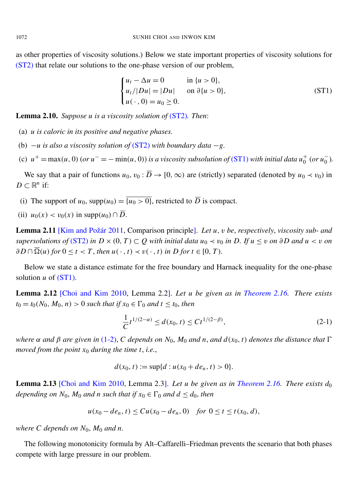as other properties of viscosity solutions.) Below we state important properties of viscosity solutions for [\(ST2\)](#page-1-2) that relate our solutions to the one-phase version of our problem,

<span id="page-10-0"></span>
$$
\begin{cases}\n u_t - \Delta u = 0 & \text{in } \{u > 0\}, \\
 u_t / |Du| = |Du| & \text{on } \partial\{u > 0\}, \\
 u(\cdot, 0) = u_0 \ge 0.\n\end{cases} \tag{ST1}
$$

<span id="page-10-2"></span>Lemma 2.10. *Suppose u is a viscosity solution of* [\(ST2\)](#page-1-2)*. Then*:

- (a) *u is caloric in its positive and negative phases.*
- (b) −*u is also a viscosity solution of* [\(ST2\)](#page-1-2) *with boundary data* −*g.*
- (c)  $u^+ = \max(u, 0)$  (or  $u^- = -\min(u, 0)$ ) is a viscosity subsolution of [\(ST1\)](#page-10-0) with initial data  $u_0^+$  $_{0}^{+}$  (or  $u_{0}^{-}$ 0 )*.*

We say that a pair of functions  $u_0$ ,  $v_0$ :  $\overline{D}$   $\rightarrow$  [0,  $\infty$ ) are (strictly) separated (denoted by  $u_0 \prec v_0$ ) in  $D \subset \mathbb{R}^n$  if:

- (i) The support of  $u_0$ , supp $(u_0) = \overline{\{u_0 > 0\}}$ , restricted to  $\overline{D}$  is compact.
- (ii)  $u_0(x) < v_0(x)$  in supp $(u_0) \cap \overline{D}$ .

<span id="page-10-3"></span>Lemma 2.11 [\[Kim and Požár 2011,](#page-40-2) Comparison principle]. *Let u*, v *be*, *respectively*, *viscosity sub- and supersolutions of* [\(ST2\)](#page-1-2) *in*  $D \times (0, T) \subset Q$  *with initial data*  $u_0 \prec v_0$  *in*  $D$ *. If*  $u \le v$  *on* ∂ *D and*  $u < v$  *on*  $\partial D \cap \overline{\Omega}(u)$  *for*  $0 \le t < T$ , *then*  $u(\cdot, t) \prec v(\cdot, t)$  *in*  $D$  *for*  $t \in [0, T)$ *.* 

Below we state a distance estimate for the free boundary and Harnack inequality for the one-phase solution  $u$  of  $(ST1)$ .

<span id="page-10-4"></span>Lemma 2.12 [\[Choi and Kim 2010,](#page-40-5) Lemma 2.2]. *Let u be given as in [Theorem 2.16.](#page-11-0) There exists*  $t_0 = t_0(N_0, M_0, n) > 0$  *such that if*  $x_0 \in \Gamma_0$  *and t*  $\le t_0$ *, then* 

$$
\frac{1}{C}t^{1/(2-\alpha)} \le d(x_0, t) \le Ct^{1/(2-\beta)},\tag{2-1}
$$

*where*  $\alpha$  *and*  $\beta$  *are* given *in* [\(1-2\),](#page-3-0) *C depends on*  $N_0$ ,  $M_0$  *and*  $n$ , *and*  $d(x_0, t)$  *denotes the distance that*  $\Gamma$ *moved from the point*  $x_0$  *during the time t, i.e.,* 

$$
d(x_0, t) := \sup\{d : u(x_0 + de_n, t) > 0\}.
$$

Lemma 2.13 [\[Choi and Kim 2010,](#page-40-5) Lemma 2.3]. *Let u be given as in [Theorem 2.16.](#page-11-0) There exists d*<sup>0</sup> *depending on*  $N_0$ ,  $M_0$  *and n such that if*  $x_0 \in \Gamma_0$  *and*  $d \leq d_0$ *, then* 

$$
u(x_0 - de_n, t) \le Cu(x_0 - de_n, 0) \quad \text{for } 0 \le t \le t(x_0, d),
$$

*where C depends on N*0, *M*<sup>0</sup> *and n.*

<span id="page-10-1"></span>The following monotonicity formula by Alt–Caffarelli–Friedman prevents the scenario that both phases compete with large pressure in our problem.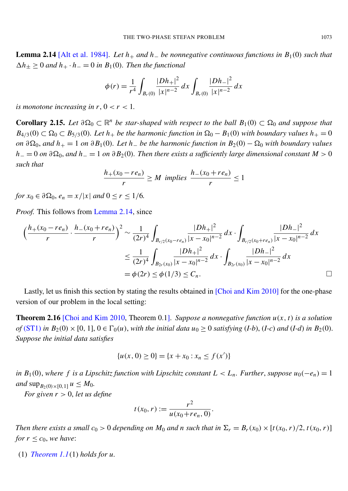Lemma 2.14 [\[Alt et al. 1984\]](#page-40-14). *Let h*<sup>+</sup> *and h*<sup>−</sup> *be nonnegative continuous functions in B*1(0) *such that*  $\Delta h_{\pm} \geq 0$  and  $h_{+} \cdot h_{-} = 0$  in  $B_1(0)$ . Then the functional

$$
\phi(r) = \frac{1}{r^4} \int_{B_r(0)} \frac{|Dh_+|^2}{|x|^{n-2}} dx \int_{B_r(0)} \frac{|Dh_-|^2}{|x|^{n-2}} dx
$$

*is monotone increasing in r,*  $0 < r < 1$ *.* 

<span id="page-11-1"></span>**Corollary 2.15.** Let  $\partial \Omega_0 \subset \mathbb{R}^n$  be star-shaped with respect to the ball  $B_1(0) \subset \Omega_0$  and suppose that  $B_{4/3}(0) \subset \Omega_0 \subset B_{5/3}(0)$ *. Let*  $h_+$  *be the harmonic function in*  $\Omega_0 - B_1(0)$  *with boundary values*  $h_+ = 0$ *on*  $\partial \Omega_0$ , and  $h_+ = 1$  *on*  $\partial B_1(0)$ *. Let*  $h_$  *be the harmonic function in*  $B_2(0) - \Omega_0$  *with boundary values*  $h_$  = 0 *on*  $\partial\Omega_0$ , *and*  $h_$  = 1 *on*  $\partial B_2(0)$ *. Then there exists a sufficiently large dimensional constant M* > 0 *such that*

$$
\frac{h_+(x_0-re_n)}{r} \ge M \implies h_-(x_0+re_n) \le 1
$$

*for*  $x_0 \in \partial \Omega_0$ ,  $e_n = x/|x|$  *and*  $0 \le r \le 1/6$ .

*Proof.* This follows from [Lemma 2.14,](#page-10-1) since

$$
\left(\frac{h_{+}(x_{0}-re_{n})}{r}\cdot\frac{h_{-}(x_{0}+re_{n})}{r}\right)^{2} \sim \frac{1}{(2r)^{4}} \int_{B_{r/2}(x_{0}-re_{n})} \frac{|Dh_{+}|^{2}}{|x-x_{0}|^{n-2}} dx \cdot \int_{B_{r/2}(x_{0}+re_{n})} \frac{|Dh_{-}|^{2}}{|x-x_{0}|^{n-2}} dx
$$

$$
\leq \frac{1}{(2r)^{4}} \int_{B_{2r}(x_{0})} \frac{|Dh_{+}|^{2}}{|x-x_{0}|^{n-2}} dx \cdot \int_{B_{2r}(x_{0})} \frac{|Dh_{-}|^{2}}{|x-x_{0}|^{n-2}} dx
$$

$$
= \phi(2r) \leq \phi(1/3) \leq C_{n}.
$$

Lastly, let us finish this section by stating the results obtained in [\[Choi and Kim 2010\]](#page-40-5) for the one-phase version of our problem in the local setting:

<span id="page-11-0"></span>**Theorem 2.16** [\[Choi and Kim 2010,](#page-40-5) Theorem 0.1]. *Suppose a nonnegative function*  $u(x, t)$  *is a solution of* [\(ST1\)](#page-10-0) *in*  $B_2(0) \times [0, 1]$ ,  $0 \in \Gamma_0(u)$ , *with the initial data*  $u_0 \ge 0$  *satisfying* (*I-b*), (*I-c*) *and* (*I-d*) *in*  $B_2(0)$ . *Suppose the initial data satisfies*

$$
\{u(x, 0) \ge 0\} = \{x + x_0 : x_n \le f(x')\}
$$

*in*  $B_1(0)$ , where f is a Lipschitz function with Lipschitz constant  $L < L_n$ . Further, suppose  $u_0(-e_n) = 1$ *and*  $\sup_{B_2(0) \times [0,1]} u \leq M_0$ *.* 

*For given*  $r > 0$ *, let us define* 

$$
t(x_0, r) := \frac{r^2}{u(x_0 + r e_n, 0)}
$$

.

*Then there exists a small*  $c_0 > 0$  *depending on*  $M_0$  *and n* such that in  $\Sigma_r = B_r(x_0) \times [t(x_0, r)/2, t(x_0, r)]$ *for*  $r \leq c_0$ *, we have:* 

(1) *[Theorem 1.1](#page-4-1)*(1) *holds for u.*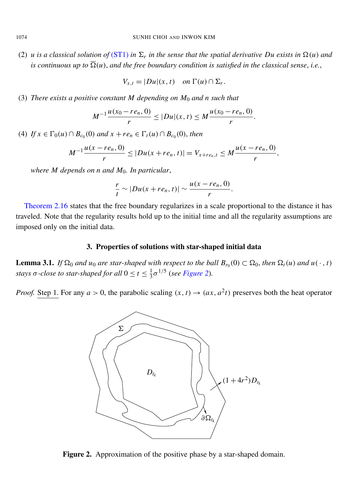(2) *u is a classical solution of* [\(ST1\)](#page-10-0) *in*  $\Sigma_r$  *in the sense that the spatial derivative Du exists in*  $\Omega(u)$  *and is continuous up to*  $\overline{\Omega}(u)$ , and the free boundary condition is satisfied in the classical sense, i.e.,

$$
V_{x,t} = |Du|(x,t) \quad on \ \Gamma(u) \cap \Sigma_r.
$$

(3) *There exists a positive constant M depending on M*<sup>0</sup> *and n such that*

$$
M^{-1}\frac{u(x_0-re_n, 0)}{r} \le |Du|(x, t) \le M\frac{u(x_0-re_n, 0)}{r}.
$$

 $(4)$  *If*  $x \in \Gamma_0(u) \cap B_{c_0}(0)$  *and*  $x + re_n \in \Gamma_t(u) \cap B_{c_0}(0)$ , *then* 

$$
M^{-1}\frac{u(x-re_n, 0)}{r} \le |Du(x+re_n, t)| = V_{x+re_n, t} \le M\frac{u(x-re_n, 0)}{r},
$$

*where M depends on n and M*0*. In particular*,

$$
\frac{r}{t} \sim |Du(x+re_n,t)| \sim \frac{u(x-re_n,0)}{r}.
$$

[Theorem 2.16](#page-11-0) states that the free boundary regularizes in a scale proportional to the distance it has traveled. Note that the regularity results hold up to the initial time and all the regularity assumptions are imposed only on the initial data.

#### 3. Properties of solutions with star-shaped initial data

<span id="page-12-1"></span><span id="page-12-0"></span>**Lemma 3.1.** If  $\Omega_0$  and  $u_0$  are star-shaped with respect to the ball  $B_{r_0}(0) \subset \Omega_0$ , then  $\Omega_t(u)$  and  $u(\cdot, t)$ *stays*  $\sigma$ -close to star-shaped for all  $0 \le t \le \frac{1}{3}$ 3 σ 1/5 (*see [Figure 2](#page-12-2)*)*.*

<span id="page-12-2"></span>*Proof.* Step 1. For any  $a > 0$ , the parabolic scaling  $(x, t) \rightarrow (ax, a^2t)$  preserves both the heat operator



Figure 2. Approximation of the positive phase by a star-shaped domain.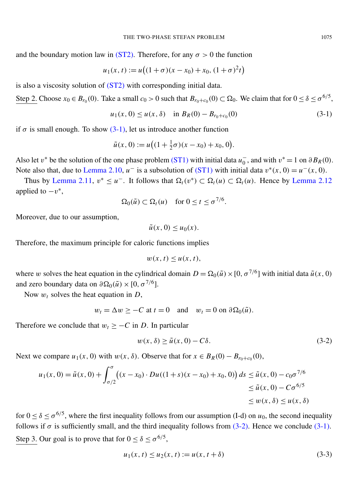and the boundary motion law in [\(ST2\).](#page-1-2) Therefore, for any  $\sigma > 0$  the function

$$
u_1(x, t) := u((1+\sigma)(x-x_0) + x_0, (1+\sigma)^2 t)
$$

is also a viscosity solution of [\(ST2\)](#page-1-2) with corresponding initial data.

Step 2. Choose  $x_0 \in B_{r_0}(0)$ . Take a small  $c_0 > 0$  such that  $B_{r_0+c_0}(0) \subset \Omega_0$ . We claim that for  $0 \le \delta \le \sigma^{6/5}$ ,

<span id="page-13-0"></span>
$$
u_1(x, 0) \le u(x, \delta) \quad \text{in } B_R(0) - B_{r_0 + c_0}(0) \tag{3-1}
$$

if  $\sigma$  is small enough. To show [\(3-1\),](#page-13-0) let us introduce another function

$$
\tilde{u}(x, 0) := u((1 + \frac{1}{2}\sigma)(x - x_0) + x_0, 0).
$$

Also let v<sup>\*</sup> be the solution of the one phase problem [\(ST1\)](#page-10-0) with initial data  $u_0^ \overline{0}$ , and with  $v^* = 1$  on  $\partial B_R(0)$ . Note also that, due to [Lemma 2.10,](#page-10-2)  $u^-$  is a subsolution of [\(ST1\)](#page-10-0) with initial data  $v^*(x, 0) = u^-(x, 0)$ .

Thus by [Lemma 2.11,](#page-10-3)  $v^* \le u^-$ . It follows that  $\Omega_t(v^*) \subset \Omega_t(u) \subset \Omega_t(u)$ . Hence by [Lemma 2.12](#page-10-4) applied to  $-v^*$ ,

$$
\Omega_0(\tilde{u}) \subset \Omega_t(u) \quad \text{for } 0 \le t \le \sigma^{7/6}.
$$

Moreover, due to our assumption,

$$
\tilde{u}(x,0) \le u_0(x).
$$

Therefore, the maximum principle for caloric functions implies

$$
w(x, t) \le u(x, t),
$$

where w solves the heat equation in the cylindrical domain  $D = \Omega_0(\tilde{u}) \times [0, \sigma^{7/6}]$  with initial data  $\tilde{u}(x, 0)$ and zero boundary data on  $\partial \Omega_0(\tilde{u}) \times [0, \sigma^{7/6}].$ 

Now w*<sup>t</sup>* solves the heat equation in *D*,

$$
w_t = \Delta w \ge -C
$$
 at  $t = 0$  and  $w_t = 0$  on  $\partial \Omega_0(\tilde{u})$ .

Therefore we conclude that  $w_t \geq -C$  in *D*. In particular

<span id="page-13-1"></span>
$$
w(x,\delta) \ge \tilde{u}(x,0) - C\delta. \tag{3-2}
$$

Next we compare  $u_1(x, 0)$  with  $w(x, \delta)$ . Observe that for  $x \in B_R(0) - B_{r_0+c_0}(0)$ ,

$$
u_1(x, 0) = \tilde{u}(x, 0) + \int_{\sigma/2}^{\sigma} \left( (x - x_0) \cdot Du((1 + s)(x - x_0) + x_0, 0) \right) ds \le \tilde{u}(x, 0) - c_0 \sigma^{7/6} \le \tilde{u}(x, 0) - C \sigma^{6/5} \le w(x, \delta) \le u(x, \delta)
$$

for  $0 \le \delta \le \sigma^{6/5}$ , where the first inequality follows from our assumption (I-d) on  $u_0$ , the second inequality follows if  $\sigma$  is sufficiently small, and the third inequality follows from [\(3-2\).](#page-13-1) Hence we conclude [\(3-1\).](#page-13-0) Step 3. Our goal is to prove that for  $0 \le \delta \le \sigma^{6/5}$ ,

<span id="page-13-2"></span>
$$
u_1(x, t) \le u_2(x, t) := u(x, t + \delta)
$$
\n(3-3)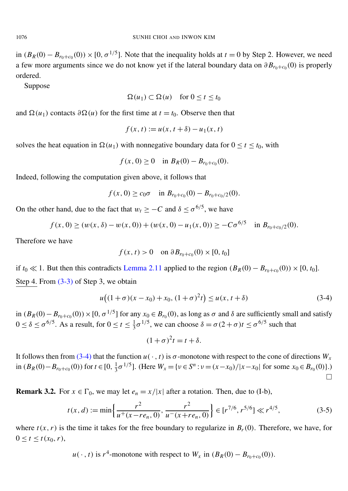in  $(B_R(0) - B_{r_0+c_0}(0)) \times [0, \sigma^{1/5}]$ . Note that the inequality holds at  $t = 0$  by Step 2. However, we need a few more arguments since we do not know yet if the lateral boundary data on  $\partial B_{r_0+c_0}(0)$  is properly ordered.

Suppose

$$
\Omega(u_1) \subset \Omega(u) \quad \text{for } 0 \le t \le t_0
$$

and  $\Omega(u_1)$  contacts  $\partial \Omega(u)$  for the first time at  $t = t_0$ . Observe then that

$$
f(x, t) := u(x, t + \delta) - u_1(x, t)
$$

solves the heat equation in  $\Omega(u_1)$  with nonnegative boundary data for  $0 \le t \le t_0$ , with

$$
f(x, 0) \ge 0
$$
 in  $B_R(0) - B_{r_0+c_0}(0)$ .

Indeed, following the computation given above, it follows that

$$
f(x, 0) \ge c_0 \sigma
$$
 in  $B_{r_0+c_0}(0) - B_{r_0+c_0/2}(0)$ .

On the other hand, due to the fact that  $w_t \geq -C$  and  $\delta \leq \sigma^{6/5}$ , we have

$$
f(x, 0) \ge (w(x, \delta) - w(x, 0)) + (w(x, 0) - u_1(x, 0)) \ge -C\sigma^{6/5} \quad \text{in } B_{r_0 + c_0/2}(0).
$$

Therefore we have

<span id="page-14-1"></span>
$$
f(x, t) > 0
$$
 on  $\partial B_{r_0+c_0}(0) \times [0, t_0]$ 

if *t*<sub>0</sub>  $\ll$  1. But then this contradicts [Lemma 2.11](#page-10-3) applied to the region  $(B_R(0) - B_{r_0 + c_0}(0)) \times [0, t_0]$ . Step 4. From  $(3-3)$  of Step 3, we obtain

$$
u((1+\sigma)(x-x_0)+x_0, (1+\sigma)^2t) \le u(x, t+\delta)
$$
\n(3-4)

in  $(B_R(0) - B_{r_0+c_0}(0)) \times [0, \sigma^{1/5}]$  for any  $x_0 \in B_{r_0}(0)$ , as long as  $\sigma$  and  $\delta$  are sufficiently small and satisfy  $0 \le \delta \le \sigma^{6/5}$ . As a result, for  $0 \le t \le \frac{1}{3}$  $\frac{1}{3}\sigma^{1/5}$ , we can choose  $\delta = \sigma(2+\sigma)t \leq \sigma^{6/5}$  such that

$$
(1+\sigma)^2 t = t + \delta.
$$

It follows then from [\(3-4\)](#page-14-1) that the function  $u(\cdot, t)$  is  $\sigma$ -monotone with respect to the cone of directions  $W_x$ in  $(B_R(0) - B_{r_0 + c_0}(0))$  for  $t \in [0, \frac{1}{3}]$  $\frac{1}{3}\sigma^{1/5}$ . (Here  $W_x = \{v \in S^n : v = (x - x_0) / |x - x_0| \text{ for some } x_0 \in B_{r_0}(0)\}.$ )  $\Box$ 

<span id="page-14-0"></span>**Remark 3.2.** For  $x \in \Gamma_0$ , we may let  $e_n = x/|x|$  after a rotation. Then, due to (I-b),

$$
t(x,d) := \min\left\{\frac{r^2}{u^+(x-re_n,0)}, \frac{r^2}{u^-(x+re_n,0)}\right\} \in [r^{7/6}, r^{5/6}] \ll r^{4/5},\tag{3-5}
$$

where  $t(x, r)$  is the time it takes for the free boundary to regularize in  $B_r(0)$ . Therefore, we have, for  $0 \le t \le t(x_0, r),$ 

 $u(\cdot, t)$  is  $r^4$ -monotone with respect to  $W_x$  in  $(B_R(0) - B_{r_0+c_0}(0))$ .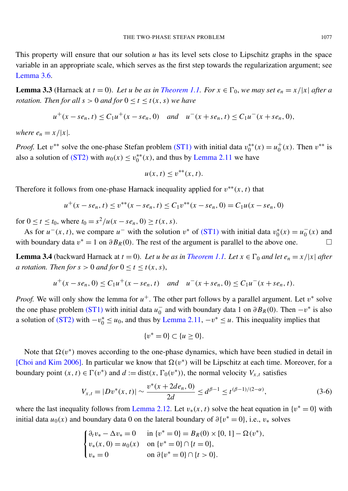This property will ensure that our solution *u* has its level sets close to Lipschitz graphs in the space variable in an appropriate scale, which serves as the first step towards the regularization argument; see [Lemma 3.6.](#page-17-0)

<span id="page-15-0"></span>**Lemma 3.3** (Harnack at  $t = 0$ ). Let *u* be as in *[Theorem 1.1.](#page-4-1)* For  $x \in \Gamma_0$ , we may set  $e_n = x/|x|$  after a *rotation. Then for all s*  $> 0$  *and for*  $0 \le t \le t(x, s)$  *we have* 

$$
u^+(x - s e_n, t) \le C_1 u^+(x - s e_n, 0)
$$
 and  $u^-(x + s e_n, t) \le C_1 u^-(x + s e_n, 0)$ ,

*where*  $e_n = x/|x|$ *.* 

*Proof.* Let  $v^{**}$  solve the one-phase Stefan problem [\(ST1\)](#page-10-0) with initial data  $v_0^{**}$  $y_0^{**}(x) = u_0^+$  $_{0}^{+}(x)$ . Then  $v^{**}$  is also a solution of [\(ST2\)](#page-1-2) with  $u_0(x) \le v_0^{**}$  $_{0}^{**}(x)$ , and thus by [Lemma 2.11](#page-10-3) we have

$$
u(x, t) \le v^{**}(x, t).
$$

Therefore it follows from one-phase Harnack inequality applied for  $v^{**}(x, t)$  that

$$
u^+(x - s e_n, t) \le v^{**}(x - s e_n, t) \le C_1 v^{**}(x - s e_n, 0) = C_1 u(x - s e_n, 0)
$$

for  $0 \le t \le t_0$ , where  $t_0 = s^2/u(x - s e_n, 0) \ge t(x, s)$ .

As for  $u^-(x, t)$ , we compare  $u^-$  with the solution  $v^*$  of [\(ST1\)](#page-10-0) with initial data  $v_0^*$  $u_0^*(x) = u_0^ \int_0^{\infty}$  (*x*) and with boundary data  $v^* = 1$  on  $\partial B_R(0)$ . The rest of the argument is parallel to the above one.

<span id="page-15-1"></span>**Lemma 3.4** (backward Harnack at  $t = 0$ ). Let *u be as in [Theorem 1.1.](#page-4-1)* Let  $x \in \Gamma_0$  *and let*  $e_n = x/|x|$  *after a rotation. Then for*  $s > 0$  *and for*  $0 \le t \le t(x, s)$ ,

$$
u^+(x - s e_n, 0) \le C_1 u^+(x - s e_n, t)
$$
 and  $u^-(x + s e_n, 0) \le C_1 u^-(x + s e_n, t)$ .

*Proof.* We will only show the lemma for  $u^+$ . The other part follows by a parallel argument. Let  $v^*$  solve the one phase problem  $(ST1)$  with initial data  $u_0^ \overline{0}$  and with boundary data 1 on  $\partial B_R(0)$ . Then  $-v^*$  is also a solution of [\(ST2\)](#page-1-2) with  $-v_0^* \le u_0$ , and thus by [Lemma 2.11,](#page-10-3)  $-v^* \le u$ . This inequality implies that

<span id="page-15-2"></span>
$$
\{v^* = 0\} \subset \{u \ge 0\}.
$$

Note that  $\Omega(v^*)$  moves according to the one-phase dynamics, which have been studied in detail in [\[Choi and Kim 2006\]](#page-40-7). In particular we know that  $\Omega(v^*)$  will be Lipschitz at each time. Moreover, for a boundary point  $(x, t) \in \Gamma(v^*)$  and  $d := \text{dist}(x, \Gamma_0(v^*))$ , the normal velocity  $V_{x,t}$  satisfies

$$
V_{x,t} = |Dv^*(x,t)| \sim \frac{v^*(x+2de_n,0)}{2d} \le d^{\beta-1} \le t^{(\beta-1)/(2-\alpha)},\tag{3-6}
$$

where the last inequality follows from [Lemma 2.12.](#page-10-4) Let  $v_*(x, t)$  solve the heat equation in  $\{v^* = 0\}$  with initial data  $u_0(x)$  and boundary data 0 on the lateral boundary of  $\partial \{v^* = 0\}$ , i.e.,  $v_*$  solves

$$
\begin{cases} \partial_t v_* - \Delta v_* = 0 & \text{in } \{v^* = 0\} = B_R(0) \times [0, 1] - \Omega(v^*), \\ v_*(x, 0) = u_0(x) & \text{on } \{v^* = 0\} \cap \{t = 0\}, \\ v_* = 0 & \text{on } \partial\{v^* = 0\} \cap \{t > 0\}. \end{cases}
$$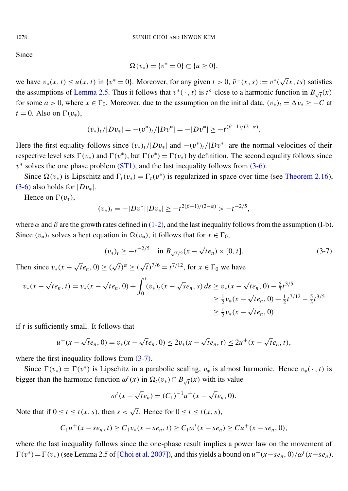Since

$$
\Omega(v_*) = \{v^* = 0\} \subset \{u \ge 0\},\
$$

we have  $v_*(x, t) \le u(x, t)$  in  $\{v^* = 0\}$ . Moreover, for any given  $t > 0$ ,  $\tilde{v}^-(x, s) := v^*(x, s)$ √  $\overline{t}$ *x*, *ts*) satisfies the assumptions of [Lemma 2.5.](#page-8-2) Thus it follows that  $v^*(\cdot, t)$  is  $t^a$ -close to a harmonic function in  $B_{\sqrt{t}}(x)$ for some  $a > 0$ , where  $x \in \Gamma_0$ . Moreover, due to the assumption on the initial data,  $(v_*)_t = \Delta v_* \ge -C$  at  $t = 0$ . Also on  $\Gamma(v_*)$ ,

$$
(v_*)_t/|Dv_*| = -(v^*)_t/|Dv^*| = -|Dv^*| \ge -t^{(\beta-1)/(2-\alpha)}
$$

Here the first equality follows since  $(v_*)_t / |Dv_*|$  and  $-(v^*)_t / |Dv^*|$  are the normal velocities of their respective level sets  $\Gamma(v_*)$  and  $\Gamma(v^*)$ , but  $\Gamma(v^*) = \Gamma(v_*)$  by definition. The second equality follows since  $v^*$  solves the one phase problem [\(ST1\),](#page-10-0) and the last inequality follows from [\(3-6\).](#page-15-2)

Since  $\Omega(v_*)$  is Lipschitz and  $\Gamma_t(v_*) = \Gamma_t(v^*)$  is regularized in space over time (see [Theorem 2.16\)](#page-11-0), [\(3-6\)](#page-15-2) also holds for  $|Dv_*|$ .

Hence on  $\Gamma(v_*)$ ,

$$
(v_*)_t = -|Dv^*||Dv_*| \ge -t^{2(\beta-1)/(2-\alpha)} > -t^{-2/5},
$$

where  $\alpha$  and  $\beta$  are the growth rates defined in [\(1-2\),](#page-3-0) and the last inequality follows from the assumption (I-b). Since  $(v_*)_t$  solves a heat equation in  $\Omega(v_*)$ , it follows that for  $x \in \Gamma_0$ ,

$$
(v_*)_t \ge -t^{-2/5} \quad \text{in } B_{\sqrt{t}/2}(x - \sqrt{t}e_n) \times [0, t]. \tag{3-7}
$$

<span id="page-16-0"></span>.

Then since  $v_*(x -$ √  $\overline{t}e_n$ , 0)  $\geq$  (  $\overline{t})^{\alpha} \geq 0$  $\overline{t}$ )<sup>7/6</sup> =  $t^{7/12}$ , for  $x \in \Gamma_0$  we have

$$
v_*(x - \sqrt{t}e_n, t) = v_*(x - \sqrt{t}e_n, 0) + \int_0^t (v_*)_t(x - \sqrt{s}e_n, s) ds \ge v_*(x - \sqrt{t}e_n, 0) - \frac{5}{3}t^{3/5}
$$
  

$$
\ge \frac{1}{2}v_*(x - \sqrt{t}e_n, 0) + \frac{1}{2}t^{7/12} - \frac{5}{3}t^{3/5}
$$
  

$$
\ge \frac{1}{2}v_*(x - \sqrt{t}e_n, 0)
$$

if *t* is sufficiently small. It follows that

$$
u^+(x - \sqrt{t}e_n, 0) = v_*(x - \sqrt{t}e_n, 0) \le 2v_*(x - \sqrt{t}e_n, t) \le 2u^+(x - \sqrt{t}e_n, t),
$$

where the first inequality follows from  $(3-7)$ .

Since  $\Gamma(v_*) = \Gamma(v^*)$  is Lipschitz in a parabolic scaling,  $v_*$  is almost harmonic. Hence  $v_*(\cdot, t)$  is bigger than the harmonic function  $\omega^t(x)$  in  $\Omega_t(v_*) \cap B_{\sqrt{t}}(x)$  with its value

$$
\omega^{t}(x - \sqrt{t}e_n) = (C_1)^{-1}u^{+}(x - \sqrt{t}e_n, 0).
$$

Note that if  $0 \le t \le t(x, s)$ , then  $s <$ √ *t*. Hence for  $0 \le t \le t(x, s)$ ,

$$
C_1u^+(x-se_n,t) \ge C_1v_*(x-se_n,t) \ge C_1\omega^t(x-se_n) \ge Cu^+(x-se_n,0),
$$

where the last inequality follows since the one-phase result implies a power law on the movement of  $\Gamma(v^*) = \Gamma(v_*)$  (see Lemma 2.5 of [\[Choi et al. 2007\]](#page-40-3)), and this yields a bound on  $u^+(x-s\epsilon_n, 0)/\omega^t(x-s\epsilon_n)$ .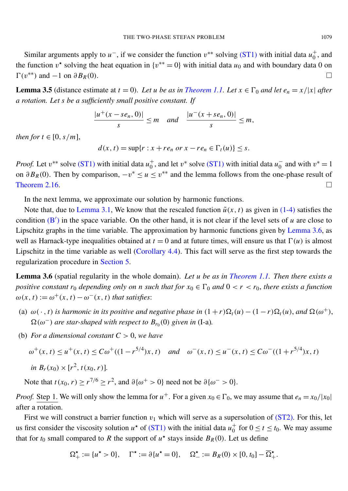Similar arguments apply to  $u^-$ , if we consider the function  $v^{**}$  solving [\(ST1\)](#page-10-0) with initial data  $u_0^+$  $_0^+$ , and the function  $v^*$  solving the heat equation in  $\{v^{**} = 0\}$  with initial data  $u_0$  and with boundary data 0 on  $\Gamma(v^{**})$  and  $-1$  on  $\partial B_R(0)$ .

**Lemma 3.5** (distance estimate at  $t = 0$ ). Let *u* be as in *[Theorem 1.1.](#page-4-1)* Let  $x \in \Gamma_0$  and let  $e_n = x/|x|$  after *a rotation. Let s be a sufficiently small positive constant. If*

$$
\frac{|u^+(x-se_n, 0)|}{s} \leq m \quad and \quad \frac{|u^-(x+se_n, 0)|}{s} \leq m,
$$

*then for*  $t \in [0, s/m]$ ,

 $d(x, t) = \sup\{r : x + re_n \text{ or } x - re_n \in \Gamma_t(u)\} \leq s.$ 

*Proof.* Let  $v^{**}$  solve [\(ST1\)](#page-10-0) with initial data  $u_0^+$ <sup>+</sup>, and let  $v^*$  solve [\(ST1\)](#page-10-0) with initial data  $u_0^ _0^-$  and with  $v^* = 1$ on  $\partial B_R(0)$ . Then by comparison,  $-v^* \le u \le v^{**}$  and the lemma follows from the one-phase result of [Theorem 2.16.](#page-11-0)

In the next lemma, we approximate our solution by harmonic functions.

Note that, due to [Lemma 3.1,](#page-12-0) We know that the rescaled function  $\tilde{u}(x, t)$  as given in [\(1-4\)](#page-5-3) satisfies the condition  $(B')$  $(B')$  in the space variable. On the other hand, it is not clear if the level sets of *u* are close to Lipschitz graphs in the time variable. The approximation by harmonic functions given by [Lemma 3.6,](#page-17-0) as well as Harnack-type inequalities obtained at  $t = 0$  and at future times, will ensure us that  $\Gamma(u)$  is almost Lipschitz in the time variable as well [\(Corollary 4.4\)](#page-29-0). This fact will serve as the first step towards the regularization procedure in [Section 5.](#page-33-0)

<span id="page-17-0"></span>Lemma 3.6 (spatial regularity in the whole domain). *Let u be as in [Theorem 1.1.](#page-4-1) Then there exists a positive constant*  $r_0$  *depending only on n such that for*  $x_0 \in \Gamma_0$  *and*  $0 < r < r_0$ *, there exists a function*  $\omega(x, t) := \omega^+(x, t) - \omega^-(x, t)$  that satisfies:

- (a)  $\omega(\cdot, t)$  *is harmonic in its positive and negative phase in*  $(1+r)\Omega_t(u) (1-r)\Omega_t(u)$ , and  $\Omega(\omega^+)$ ,  $\Omega(\omega^-)$  *are star-shaped with respect to*  $B_{r_0}(0)$  *given in* (I-a).
- (b) *For a dimensional constant*  $C > 0$ *, we have*

$$
\omega^+(x,t) \le u^+(x,t) \le C\omega^+((1-r^{5/4})x,t) \quad \text{and} \quad \omega^-(x,t) \le u^-(x,t) \le C\omega^-\left((1+r^{5/4})x,t\right)
$$
  
in  $B_r(x_0) \times [r^2, t(x_0, r)].$ 

Note that  $t(x_0, r) \ge r^{7/6} \ge r^2$ , and  $\partial {\omega^+} > 0$ } need not be  $\partial {\omega^-} > 0$ .

*Proof.* Step 1. We will only show the lemma for  $u^+$ . For a given  $x_0 \in \Gamma_0$ , we may assume that  $e_n = x_0/|x_0|$ after a rotation.

First we will construct a barrier function  $v_1$  which will serve as a supersolution of [\(ST2\).](#page-1-2) For this, let us first consider the viscosity solution  $u^*$  of [\(ST1\)](#page-10-0) with the initial data  $u_0^+$  $\frac{+}{0}$  for  $0 \le t \le t_0$ . We may assume that for  $t_0$  small compared to R the support of  $u^*$  stays inside  $B_R(0)$ . Let us define

$$
\Omega^\star_+ := \{ u^\star > 0 \}, \quad \Gamma^\star := \partial \{ u^\star = 0 \}, \quad \Omega^\star_- := B_R(0) \times [0, t_0] - \overline{\Omega}^\star_+.
$$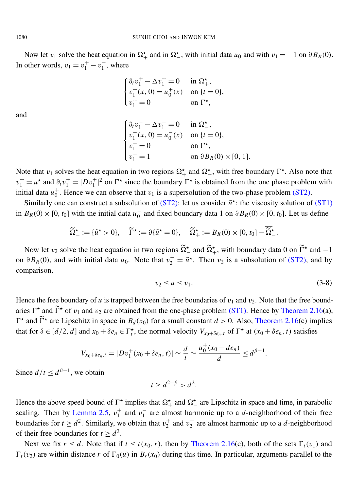Now let  $v_1$  solve the heat equation in  $\Omega^*$ , and in  $\Omega^*$ , with initial data  $u_0$  and with  $v_1 = -1$  on  $\partial B_R(0)$ . In other words,  $v_1 = v_1^+ - v_1^ \frac{1}{1}$ , where

$$
\begin{cases} \partial_t v_1^+ - \Delta v_1^+ = 0 & \text{in } \Omega_+^{\star}, \\ v_1^+(x, 0) = u_0^+(x) & \text{on } \{t = 0\}, \\ v_1^+ = 0 & \text{on } \Gamma^{\star}, \end{cases}
$$

and

$$
\begin{cases} \partial_t v_1^- - \Delta v_1^- = 0 & \text{in } \Omega_-, \\ v_1^-(x, 0) = u_0^-(x) & \text{on } \{t = 0\}, \\ v_1^- = 0 & \text{on } \Gamma_-, \\ v_1^- = 1 & \text{on } \partial B_R(0) \times [0, 1]. \end{cases}
$$

Note that  $v_1$  solves the heat equation in two regions  $\Omega_+^{\star}$  and  $\Omega_-^{\star}$ , with free boundary  $\Gamma^{\star}$ . Also note that  $v_1^+ = u^*$  and  $\partial_t v_1^+ = |D v_1^+|$  $_{1}^{+}$ |<sup>2</sup> on  $\Gamma^{\star}$  since the boundary  $\Gamma^{\star}$  is obtained from the one phase problem with initial data  $u_0^+$  $_{0}^{+}$ . Hence we can observe that  $v_1$  is a supersolution of the two-phase problem [\(ST2\).](#page-1-2)

Similarly one can construct a subsolution of  $(ST2)$ : let us consider  $\tilde{u}^*$ : the viscosity solution of  $(ST1)$ in  $B_R(0) \times [0, t_0]$  with the initial data  $u_0^ \frac{1}{0}$  and fixed boundary data 1 on  $\partial B_R(0) \times [0, t_0]$ . Let us define

<span id="page-18-0"></span>
$$
\widetilde{\Omega}^{\star}_{-} := \{ \widetilde{u}^{\star} > 0 \}, \quad \widetilde{\Gamma}^{\star} := \partial \{ \widetilde{u}^{\star} = 0 \}, \quad \widetilde{\Omega}^{\star}_{+} := B_{R}(0) \times [0, t_{0}] - \overline{\widetilde{\Omega}^{\star}}_{-}.
$$

Now let  $v_2$  solve the heat equation in two regions  $\tilde{\Omega}^{\star}$  and  $\tilde{\Omega}^{\star}$ , with boundary data 0 on  $\tilde{\Gamma}^{\star}$  and  $-1$ on  $\partial B_R(0)$ , and with initial data *u*<sub>0</sub>. Note that  $v_2 = \tilde{u}^*$ . Then  $v_2$  is a subsolution of [\(ST2\),](#page-1-2) and by comparison,

$$
v_2 \le u \le v_1. \tag{3-8}
$$

Hence the free boundary of *u* is trapped between the free boundaries of  $v_1$  and  $v_2$ . Note that the free boundaries  $\Gamma^*$  and  $\widetilde{\Gamma}^*$  of  $v_1$  and  $v_2$  are obtained from the one-phase problem [\(ST1\).](#page-10-0) Hence by [Theorem 2.16\(](#page-11-0)a),  $\Gamma^*$  and  $\widetilde{\Gamma}^*$  are Lipschitz in space in  $B_d(x_0)$  for a small constant  $d > 0$ . Also, [Theorem 2.16\(](#page-11-0)c) implies that for  $\delta \in [d/2, d]$  and  $x_0 + \delta e_n \in \Gamma_t^*$ , the normal velocity  $V_{x_0 + \delta e_n, t}$  of  $\Gamma^*$  at  $(x_0 + \delta e_n, t)$  satisfies

$$
V_{x_0+\delta e_n,t}=|Dv_1^+(x_0+\delta e_n,t)|\sim \frac{d}{t}\sim \frac{u_0^+(x_0-de_n)}{d}\leq d^{\beta-1}.
$$

Since  $d/t \leq d^{\beta-1}$ , we obtain

$$
t \ge d^{2-\beta} > d^2.
$$

Hence the above speed bound of  $\Gamma^*$  implies that  $\Omega^*$  and  $\Omega^*$  are Lipschitz in space and time, in parabolic scaling. Then by [Lemma 2.5,](#page-8-2)  $v_1^+$  $_1^+$  and  $v_1^ \frac{1}{1}$  are almost harmonic up to a *d*-neighborhood of their free boundaries for  $t \geq d^2$ . Similarly, we obtain that  $v_2^+$  $v_2^+$  and  $v_2^ \frac{1}{2}$  are almost harmonic up to a *d*-neighborhood of their free boundaries for  $t \ge d^2$ .

Next we fix  $r \leq d$ . Note that if  $t \leq t(x_0, r)$ , then by [Theorem 2.16\(](#page-11-0)c), both of the sets  $\Gamma_t(v_1)$  and  $\Gamma_t(v_2)$  are within distance *r* of  $\Gamma_0(u)$  in  $B_r(x_0)$  during this time. In particular, arguments parallel to the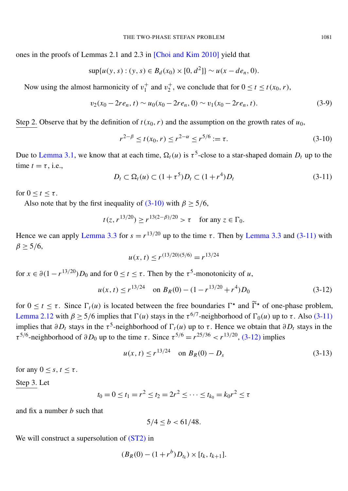ones in the proofs of Lemmas 2.1 and 2.3 in [\[Choi and Kim 2010\]](#page-40-5) yield that

$$
\sup\{u(y,s):(y,s)\in B_d(x_0)\times[0,d^2]\}\sim u(x-de_n,0).
$$

Now using the almost harmonicity of  $v_1^+$  $_1^+$  and  $v_2^+$ <sup>+</sup><sub>2</sub>, we conclude that for  $0 \le t \le t(x_0, r)$ ,

$$
v_2(x_0 - 2re_n, t) \sim u_0(x_0 - 2re_n, 0) \sim v_1(x_0 - 2re_n, t).
$$
 (3-9)

Step 2. Observe that by the definition of  $t(x_0, r)$  and the assumption on the growth rates of  $u_0$ ,

<span id="page-19-4"></span><span id="page-19-0"></span>
$$
r^{2-\beta} \le t(x_0, r) \le r^{2-\alpha} \le r^{5/6} := \tau.
$$
 (3-10)

<span id="page-19-1"></span>Due to [Lemma 3.1,](#page-12-0) we know that at each time,  $\Omega_t(u)$  is  $\tau^5$ -close to a star-shaped domain  $D_t$  up to the time  $t = \tau$ , i.e.,

$$
D_t \subset \Omega_t(u) \subset (1 + \tau^5)D_t \subset (1 + r^4)D_t \tag{3-11}
$$

for  $0 \le t \le \tau$ .

Also note that by the first inequality of [\(3-10\)](#page-19-0) with  $\beta \ge 5/6$ ,

$$
t(z, r^{13/20}) \ge r^{13(2-\beta)/20} > \tau
$$
 for any  $z \in \Gamma_0$ .

Hence we can apply [Lemma 3.3](#page-15-0) for  $s = r^{13/20}$  up to the time  $\tau$ . Then by Lemma 3.3 and [\(3-11\)](#page-19-1) with  $\beta > 5/6$ ,

<span id="page-19-2"></span>
$$
u(x, t) \le r^{(13/20)(5/6)} = r^{13/24}
$$

for  $x \in \partial (1 - r^{13/20}) D_0$  and for  $0 \le t \le \tau$ . Then by the  $\tau^5$ -monotonicity of *u*,

$$
u(x, t) \le r^{13/24} \quad \text{on } B_R(0) - (1 - r^{13/20} + r^4)D_0 \tag{3-12}
$$

for  $0 \le t \le \tau$ . Since  $\Gamma_t(u)$  is located between the free boundaries  $\Gamma^*$  and  $\widetilde{\Gamma}^*$  of one-phase problem, [Lemma 2.12](#page-10-4) with  $\beta \ge 5/6$  implies that  $\Gamma(u)$  stays in the  $\tau^{6/7}$ -neighborhood of  $\Gamma_0(u)$  up to  $\tau$ . Also [\(3-11\)](#page-19-1) implies that  $\partial D_t$  stays in the  $\tau^5$ -neighborhood of  $\Gamma_t(u)$  up to  $\tau$ . Hence we obtain that  $\partial D_t$  stays in the  $\tau^{5/6}$ -neighborhood of  $\partial D_0$  up to the time  $\tau$ . Since  $\tau^{5/6} = r^{25/36} < r^{13/20}$ , [\(3-12\)](#page-19-2) implies

<span id="page-19-3"></span>
$$
u(x, t) \le r^{13/24} \quad \text{on } B_R(0) - D_s \tag{3-13}
$$

for any  $0 \leq s, t \leq \tau$ .

Step 3. Let

$$
t_0 = 0 \le t_1 = r^2 \le t_2 = 2r^2 \le \dots \le t_{k_0} = k_0 r^2 \le \tau
$$

and fix a number *b* such that

$$
5/4 \le b < 61/48.
$$

We will construct a supersolution of [\(ST2\)](#page-1-2) in

$$
(B_R(0) - (1 + r^b)D_{t_k}) \times [t_k, t_{k+1}].
$$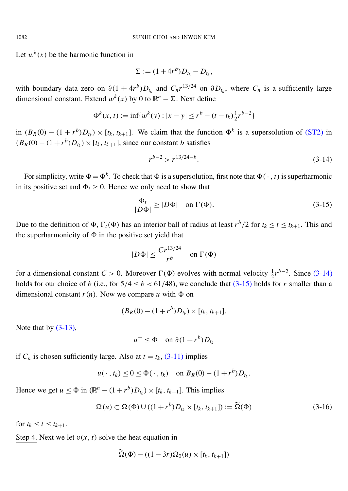Let  $w^k(x)$  be the harmonic function in

$$
\Sigma := (1+4r^b)D_{t_k} - D_{t_k},
$$

with boundary data zero on  $\partial (1 + 4r^b)D_{t_k}$  and  $C_n r^{13/24}$  on  $\partial D_{t_k}$ , where  $C_n$  is a sufficiently large dimensional constant. Extend  $w^k(x)$  by 0 to  $\mathbb{R}^n - \Sigma$ . Next define

$$
\Phi^k(x, t) := \inf \{ w^k(y) : |x - y| \le r^b - (t - t_k) \frac{1}{2} r^{b-2} \}
$$

in  $(B_R(0) - (1 + r^b)D_{t_k}) \times [t_k, t_{k+1}]$ . We claim that the function  $\Phi^k$  is a supersolution of [\(ST2\)](#page-1-2) in  $(B_R(0) - (1 + r^b)D_{t_k}) \times [t_k, t_{k+1}]$ , since our constant *b* satisfies

<span id="page-20-1"></span><span id="page-20-0"></span>
$$
r^{b-2} > r^{13/24 - b}.\tag{3-14}
$$

For simplicity, write  $\Phi = \Phi^k$ . To check that  $\Phi$  is a supersolution, first note that  $\Phi(\cdot, t)$  is superharmonic in its positive set and  $\Phi_t \geq 0$ . Hence we only need to show that

$$
\frac{\Phi_t}{|D\Phi|} \ge |D\Phi| \quad \text{on } \Gamma(\Phi). \tag{3-15}
$$

Due to the definition of  $\Phi$ ,  $\Gamma_t(\Phi)$  has an interior ball of radius at least  $r^b/2$  for  $t_k \le t \le t_{k+1}$ . This and the superharmonicity of  $\Phi$  in the positive set yield that

$$
|D\Phi| \le \frac{Cr^{13/24}}{r^b} \quad \text{on } \Gamma(\Phi)
$$

for a dimensional constant  $C > 0$ . Moreover  $\Gamma(\Phi)$  evolves with normal velocity  $\frac{1}{2}r^{b-2}$ . Since [\(3-14\)](#page-20-0) holds for our choice of *b* (i.e., for  $5/4 < b < 61/48$ ), we conclude that  $(3-15)$  holds for *r* smaller than a dimensional constant  $r(n)$ . Now we compare *u* with  $\Phi$  on

$$
(B_R(0) - (1 + r^b)D_{t_k}) \times [t_k, t_{k+1}].
$$

Note that by  $(3-13)$ ,

<span id="page-20-2"></span>
$$
u^+ \leq \Phi \quad \text{on } \partial (1+r^b)D_{t_k}
$$

if  $C_n$  is chosen sufficiently large. Also at  $t = t_k$ , [\(3-11\)](#page-19-1) implies

$$
u(\cdot,t_k) \leq 0 \leq \Phi(\cdot,t_k) \quad \text{on } B_R(0) - (1+r^b)D_{t_k}.
$$

Hence we get  $u \le \Phi$  in  $(\mathbb{R}^n - (1 + r^b)D_{t_k}) \times [t_k, t_{k+1}]$ . This implies

$$
\Omega(u) \subset \Omega(\Phi) \cup ((1+r^b)D_{t_k} \times [t_k, t_{k+1}]) := \widetilde{\Omega}(\Phi)
$$
\n(3-16)

for  $t_k < t < t_{k+1}$ .

Step 4. Next we let  $v(x, t)$  solve the heat equation in

$$
\widetilde{\Omega}(\Phi) - ((1 - 3r)\Omega_0(u) \times [t_k, t_{k+1}])
$$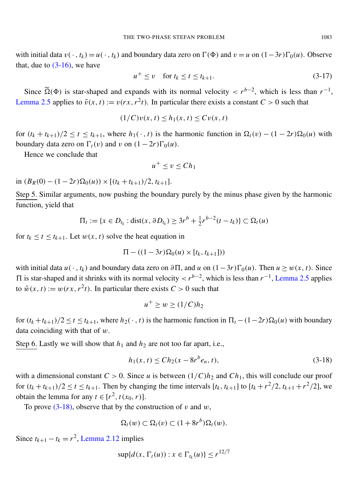with initial data  $v(\cdot, t_k) = u(\cdot, t_k)$  and boundary data zero on  $\Gamma(\Phi)$  and  $v = u$  on  $(1-3r)\Gamma_0(u)$ . Observe that, due to  $(3-16)$ , we have

<span id="page-21-1"></span>
$$
u^+ \le v \quad \text{for } t_k \le t \le t_{k+1}.\tag{3-17}
$$

Since  $\widetilde{\Omega}(\Phi)$  is star-shaped and expands with its normal velocity <  $r^{b-2}$ , which is less than  $r^{-1}$ , [Lemma 2.5](#page-8-2) applies to  $\tilde{v}(x, t) := v(rx, r^2t)$ . In particular there exists a constant  $C > 0$  such that

$$
(1/C)v(x, t) \le h_1(x, t) \le Cv(x, t)
$$

for  $(t_k + t_{k+1})/2 \le t \le t_{k+1}$ , where  $h_1(\cdot, t)$  is the harmonic function in  $\Omega_t(v) - (1 - 2r)\Omega_0(u)$  with boundary data zero on  $\Gamma_t(v)$  and v on  $(1 - 2r)\Gamma_0(u)$ .

Hence we conclude that

$$
u^+\leq v\leq Ch_1
$$

in  $(B_R(0) - (1 - 2r)Ω_0(u)) × [(t_k + t_{k+1})/2, t_{k+1}].$ 

Step 5. Similar arguments, now pushing the boundary purely by the minus phase given by the harmonic function, yield that

$$
\Pi_t := \{ x \in D_{t_k} : \text{dist}(x, \partial D_{t_k}) \geq 3r^b + \frac{1}{2}r^{b-2}(t - t_k) \} \subset \Omega_t(u)
$$

for  $t_k \le t \le t_{k+1}$ . Let  $w(x, t)$  solve the heat equation in

$$
\Pi-((1-3r)\Omega_0(u)\times[t_k,t_{k+1}]))
$$

with initial data  $u(\cdot, t_k)$  and boundary data zero on  $\partial \Pi$ , and  $u$  on  $(1-3r)\Gamma_0(u)$ . Then  $u \geq w(x, t)$ . Since  $\Pi$  is star-shaped and it shrinks with its normal velocity  $\langle r^{b-2} \rangle$ , which is less than  $r^{-1}$ , [Lemma 2.5](#page-8-2) applies to  $\tilde{w}(x, t) := w(rx, r^2t)$ . In particular there exists  $C > 0$  such that

<span id="page-21-0"></span>
$$
u^+ \ge w \ge (1/C)h_2
$$

for  $(t_k + t_{k+1})/2 \le t \le t_{k+1}$ , where  $h_2(\cdot, t)$  is the harmonic function in  $\Pi_t - (1-2r)\Omega_0(u)$  with boundary data coinciding with that of  $w$ .

Step 6. Lastly we will show that  $h_1$  and  $h_2$  are not too far apart, i.e.,

$$
h_1(x,t) \le Ch_2(x - 8r^b e_n, t),
$$
\n(3-18)

with a dimensional constant  $C > 0$ . Since *u* is between  $(1/C)h_2$  and  $Ch_1$ , this will conclude our proof for  $(t_k + t_{k+1})/2 \le t \le t_{k+1}$ . Then by changing the time intervals  $[t_k, t_{k+1}]$  to  $[t_k + r^2/2, t_{k+1} + r^2/2]$ , we obtain the lemma for any  $t \in [r^2, t(x_0, r)]$ .

To prove  $(3-18)$ , observe that by the construction of v and w,

$$
\Omega_t(w) \subset \Omega_t(v) \subset (1+8r^b)\Omega_t(w).
$$

Since  $t_{k+1} - t_k = r^2$ , [Lemma 2.12](#page-10-4) implies

$$
\sup\{d(x,\Gamma_t(u)):x\in\Gamma_{t_k}(u)\}\leq r^{12/7}
$$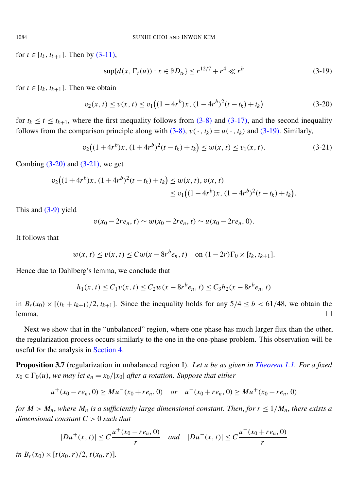for  $t \in [t_k, t_{k+1}]$ . Then by [\(3-11\),](#page-19-1)

<span id="page-22-3"></span><span id="page-22-2"></span><span id="page-22-1"></span>
$$
\sup\{d(x, \Gamma_t(u)) : x \in \partial D_{t_k}\} \le r^{12/7} + r^4 \ll r^b \tag{3-19}
$$

for  $t \in [t_k, t_{k+1}]$ . Then we obtain

$$
v_2(x, t) \le v(x, t) \le v_1 \left( (1 - 4r^b)x, (1 - 4r^b)^2(t - t_k) + t_k \right) \tag{3-20}
$$

for  $t_k \le t \le t_{k+1}$ , where the first inequality follows from [\(3-8\)](#page-18-0) and [\(3-17\),](#page-21-1) and the second inequality follows from the comparison principle along with  $(3-8)$ ,  $v(\cdot, t_k) = u(\cdot, t_k)$  and  $(3-19)$ . Similarly,

$$
v_2\big((1+4r^b)x, (1+4r^b)^2(t-t_k)+t_k\big)\le w(x,t)\le v_1(x,t). \tag{3-21}
$$

Combing  $(3-20)$  and  $(3-21)$ , we get

$$
v_2\big((1+4r^b)x,(1+4r^b)^2(t-t_k)+t_k\big)\leq w(x,t),\,v(x,t)\leq v_1\big((1-4r^b)x,(1-4r^b)^2(t-t_k)+t_k\big).
$$

This and [\(3-9\)](#page-19-4) yield

$$
v(x_0-2re_n,t)\sim w(x_0-2re_n,t)\sim u(x_0-2re_n,0).
$$

It follows that

$$
w(x, t) \le v(x, t) \le Cw(x - 8r^b e_n, t)
$$
 on  $(1 - 2r)\Gamma_0 \times [t_k, t_{k+1}].$ 

Hence due to Dahlberg's lemma, we conclude that

$$
h_1(x, t) \le C_1 v(x, t) \le C_2 w(x - 8r^b e_n, t) \le C_3 h_2(x - 8r^b e_n, t)
$$

in  $B_r(x_0) \times [(t_k + t_{k+1})/2, t_{k+1}]$ . Since the inequality holds for any  $5/4 \le b < 61/48$ , we obtain the lemma. □

Next we show that in the "unbalanced" region, where one phase has much larger flux than the other, the regularization process occurs similarly to the one in the one-phase problem. This observation will be useful for the analysis in [Section 4.](#page-27-0)

<span id="page-22-0"></span>Proposition 3.7 (regularization in unbalanced region I). *Let u be as given in [Theorem 1.1.](#page-4-1) For a fixed*  $x_0 \in \Gamma_0(u)$ , *we may let*  $e_n = x_0/|x_0|$  *after a rotation. Suppose that either* 

$$
u^+(x_0-re_n, 0) \geq Mu^-(x_0+re_n, 0)
$$
 or  $u^-(x_0+re_n, 0) \geq Mu^+(x_0-re_n, 0)$ 

*for*  $M > M_n$ , where  $M_n$  is a sufficiently large dimensional constant. Then, for  $r \leq 1/M_n$ , there exists a *dimensional constant C* > 0 *such that*

$$
|Du^{+}(x,t)| \leq C \frac{u^{+}(x_0 - r e_n, 0)}{r} \quad \text{and} \quad |Du^{-}(x,t)| \leq C \frac{u^{-}(x_0 + r e_n, 0)}{r}
$$

*in*  $B_r(x_0) \times [t(x_0, r)/2, t(x_0, r)]$ .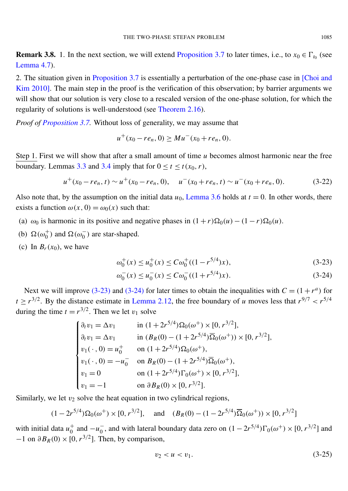**Remark 3.8.** 1. In the next section, we will extend [Proposition 3.7](#page-22-0) to later times, i.e., to  $x_0 \in \Gamma_{t_0}$  (see [Lemma 4.7\)](#page-32-0).

2. The situation given in [Proposition 3.7](#page-22-0) is essentially a perturbation of the one-phase case in [\[Choi and](#page-40-5) [Kim 2010\]](#page-40-5). The main step in the proof is the verification of this observation; by barrier arguments we will show that our solution is very close to a rescaled version of the one-phase solution, for which the regularity of solutions is well-understood (see [Theorem 2.16\)](#page-11-0).

*Proof of [Proposition 3.7.](#page-22-0)* Without loss of generality, we may assume that

<span id="page-23-3"></span>
$$
u^+(x_0-re_n, 0) \geq Mu^-(x_0+re_n, 0).
$$

Step 1. First we will show that after a small amount of time *u* becomes almost harmonic near the free boundary. Lemmas [3.3](#page-15-0) and [3.4](#page-15-1) imply that for  $0 \le t \le t(x_0, r)$ ,

$$
u^+(x_0-re_n, t) \sim u^+(x_0-re_n, 0), \quad u^-(x_0+re_n, t) \sim u^-(x_0+re_n, 0).
$$
 (3-22)

Also note that, by the assumption on the initial data  $u_0$ , [Lemma 3.6](#page-17-0) holds at  $t = 0$ . In other words, there exists a function  $\omega(x, 0) = \omega_0(x)$  such that:

- (a)  $\omega_0$  is harmonic in its positive and negative phases in  $(1+r)\Omega_0(u) (1-r)\Omega_0(u)$ .
- (b)  $\Omega(\omega_0^+)$  and  $\Omega(\omega_0^-)$  are star-shaped.
- (c) In  $B_r(x_0)$ , we have

$$
\omega_0^+(x) \le u_0^+(x) \le C\omega_0^+((1 - r^{5/4})x),\tag{3-23}
$$

$$
\omega_0^-(x) \le u_0^-(x) \le C\omega_0^-(1+r^{5/4})x). \tag{3-24}
$$

<span id="page-23-1"></span><span id="page-23-0"></span> $\sim$ 

Next we will improve [\(3-23\)](#page-23-0) and [\(3-24\)](#page-23-1) for later times to obtain the inequalities with  $C = (1 + r^a)$  for  $t \ge r^{3/2}$ . By the distance estimate in [Lemma 2.12,](#page-10-4) the free boundary of *u* moves less that  $r^{9/7} < r^{5/4}$ during the time  $t = r^{3/2}$ . Then we let  $v_1$  solve

$$
\begin{cases}\n\partial_t v_1 = \Delta v_1 & \text{in } (1 + 2r^{5/4})\Omega_0(\omega^+) \times [0, r^{3/2}], \\
\partial_t v_1 = \Delta v_1 & \text{in } (B_R(0) - (1 + 2r^{5/4})\overline{\Omega}_0(\omega^+)) \times [0, r^{3/2}], \\
v_1(\cdot, 0) = u_0^+ & \text{on } (1 + 2r^{5/4})\Omega_0(\omega^+), \\
v_1(\cdot, 0) = -u_0^- & \text{on } B_R(0) - (1 + 2r^{5/4})\overline{\Omega}_0(\omega^+), \\
v_1 = 0 & \text{on } (1 + 2r^{5/4})\Gamma_0(\omega^+) \times [0, r^{3/2}], \\
v_1 = -1 & \text{on } \partial B_R(0) \times [0, r^{3/2}].\n\end{cases}
$$

Similarly, we let  $v_2$  solve the heat equation in two cylindrical regions,

$$
(1-2r^{5/4})\Omega_0(\omega^+) \times [0, r^{3/2}],
$$
 and  $(B_R(0) - (1-2r^{5/4})\overline{\Omega}_0(\omega^+)) \times [0, r^{3/2}]$ 

with initial data  $u_0^+$  $_0^+$  and  $-u_0^ <sup>−</sup>$ , and with lateral boundary data zero on  $(1 - 2r^{5/4})\Gamma_0(\omega^+) \times [0, r^{3/2}]$  and</sup>  $-1$  on  $\partial B_R(0) \times [0, r^{3/2}]$ . Then, by comparison,

<span id="page-23-2"></span>
$$
v_2 < u < v_1. \tag{3-25}
$$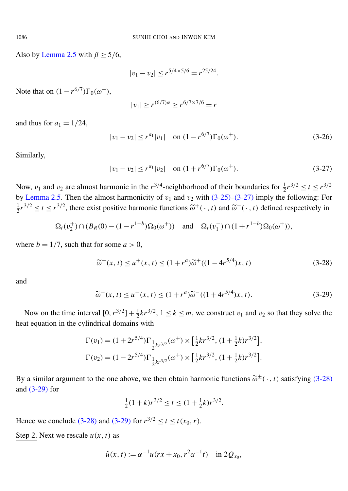Also by [Lemma 2.5](#page-8-2) with  $\beta \geq 5/6$ ,

$$
|v_1 - v_2| \le r^{5/4 \times 5/6} = r^{25/24}.
$$

Note that on  $(1 - r^{6/7})\Gamma_0(\omega^+),$ 

$$
|v_1| \ge r^{(6/7)\alpha} \ge r^{6/7 \times 7/6} = r
$$

and thus for  $a_1 = 1/24$ ,

$$
|v_1 - v_2| \le r^{a_1} |v_1| \quad \text{on } (1 - r^{6/7}) \Gamma_0(\omega^+). \tag{3-26}
$$

<span id="page-24-0"></span>Similarly,

$$
|v_1 - v_2| \le r^{a_1} |v_2| \quad \text{on } (1 + r^{6/7}) \Gamma_0(\omega^+).
$$
 (3-27)

Now,  $v_1$  and  $v_2$  are almost harmonic in the  $r^{3/4}$ -neighborhood of their boundaries for  $\frac{1}{2}r^{3/2} \le t \le r^{3/2}$ by [Lemma 2.5.](#page-8-2) Then the almost harmonicity of  $v_1$  and  $v_2$  with [\(3-25\)–](#page-23-2)[\(3-27\)](#page-24-0) imply the following: For 1  $\frac{1}{2}r^{3/2} \le t \le r^{3/2}$ , there exist positive harmonic functions  $\tilde{\omega}^+(\cdot, t)$  and  $\tilde{\omega}^-(\cdot, t)$  defined respectively in

$$
\Omega_t(v_2^+) \cap (B_R(0) - (1 - r^{1-b})\Omega_0(\omega^+)) \quad \text{and} \quad \Omega_t(v_1^-) \cap (1 + r^{1-b})\Omega_0(\omega^+)),
$$

where  $b = 1/7$ , such that for some  $a > 0$ ,

<span id="page-24-1"></span>
$$
\widetilde{\omega}^+(x,t) \le u^+(x,t) \le (1+r^a)\widetilde{\omega}^+((1-4r^{5/4})x,t)
$$
\n(3-28)

<span id="page-24-2"></span>and

$$
\widetilde{\omega}^-(x,t) \le u^-(x,t) \le (1+r^a)\widetilde{\omega}^-(1+4r^{5/4})x,t). \tag{3-29}
$$

Now on the time interval  $[0, r^{3/2}] + \frac{1}{2} k r^{3/2}$ ,  $1 \le k \le m$ , we construct  $v_1$  and  $v_2$  so that they solve the heat equation in the cylindrical domains with

$$
\Gamma(v_1) = (1 + 2r^{5/4})\Gamma_{\frac{1}{2}kr^{3/2}}(\omega^+) \times \left[\frac{1}{2}kr^{3/2}, (1 + \frac{1}{2}k)r^{3/2}\right],
$$
  

$$
\Gamma(v_2) = (1 - 2r^{5/4})\Gamma_{\frac{1}{2}kr^{3/2}}(\omega^+) \times \left[\frac{1}{2}kr^{3/2}, (1 + \frac{1}{2}k)r^{3/2}\right].
$$

By a similar argument to the one above, we then obtain harmonic functions  $\tilde{\omega}^{\pm}(\cdot, t)$  satisfying [\(3-28\)](#page-24-1) and [\(3-29\)](#page-24-2) for

$$
\frac{1}{2}(1+k)r^{3/2} \le t \le (1+\frac{1}{2}k)r^{3/2}.
$$

Hence we conclude [\(3-28\)](#page-24-1) and [\(3-29\)](#page-24-2) for  $r^{3/2} \le t \le t(x_0, r)$ .

Step 2. Next we rescale  $u(x, t)$  as

$$
\tilde{u}(x, t) := \alpha^{-1} u(rx + x_0, r^2 \alpha^{-1} t)
$$
 in  $2Q_{x_0}$ ,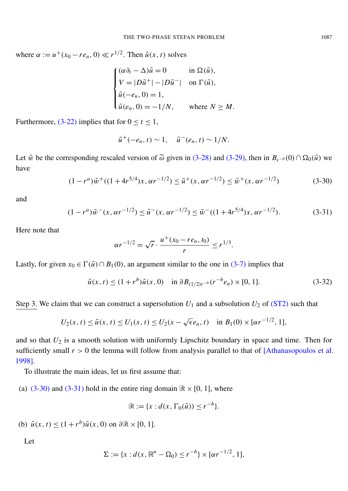where  $\alpha := u^+(x_0 - re_n, 0) \ll r^{1/2}$ . Then  $\tilde{u}(x, t)$  solves

$$
\begin{cases}\n(\alpha \partial_t - \Delta) \tilde{u} = 0 & \text{in } \Omega(\tilde{u}), \\
V = |D\tilde{u}^+| - |D\tilde{u}^-| & \text{on } \Gamma(\tilde{u}), \\
\tilde{u}(-e_n, 0) = 1, \\
\tilde{u}(e_n, 0) = -1/N, & \text{where } N \ge M.\n\end{cases}
$$

Furthermore, [\(3-22\)](#page-23-3) implies that for  $0 \le t \le 1$ ,

$$
\tilde{u}^+(-e_n,t)\sim 1,\quad \tilde{u}^-(e_n,t)\sim 1/N.
$$

<span id="page-25-0"></span>Let  $\tilde{w}$  be the corresponding rescaled version of  $\tilde{\omega}$  given in [\(3-28\)](#page-24-1) and [\(3-29\),](#page-24-2) then in  $B_{r-b}(0) \cap \Omega_0(\tilde{u})$  we have

$$
(1 - r^a)\tilde{w}^+((1 + 4r^{5/4})x, \alpha r^{-1/2}) \le \tilde{u}^+(x, \alpha r^{-1/2}) \le \tilde{w}^+(x, \alpha r^{-1/2})
$$
\n(3-30)

<span id="page-25-1"></span>and

$$
(1 - r^a)\tilde{w}^-(x, \alpha r^{-1/2}) \le \tilde{u}^-(x, \alpha r^{-1/2}) \le \tilde{w}^-(1 + 4r^{5/4})x, \alpha r^{-1/2}).
$$
\n(3-31)

Here note that

<span id="page-25-2"></span>
$$
\alpha r^{-1/2} = \sqrt{r} \cdot \frac{u^+(x_0 - r e_n, t_0)}{r} \le r^{1/3}.
$$

Lastly, for given  $x_0 \in \Gamma(\tilde{u}) \cap B_1(0)$ , an argument similar to the one in [\(3-7\)](#page-16-0) implies that

$$
\tilde{u}(x,t) \le (1+r^b)\tilde{u}(x,0) \quad \text{in } \partial B_{(1/2)r^{-b}}(r^{-b}e_n) \times [0,1]. \tag{3-32}
$$

Step 3. We claim that we can construct a supersolution  $U_1$  and a subsolution  $U_2$  of [\(ST2\)](#page-1-2) such that

$$
U_2(x, t) \le \tilde{u}(x, t) \le U_1(x, t) \le U_2(x - \sqrt{\epsilon}e_n, t) \quad \text{in } B_1(0) \times [\alpha r^{-1/2}, 1],
$$

and so that *U*<sup>2</sup> is a smooth solution with uniformly Lipschitz boundary in space and time. Then for sufficiently small  $r > 0$  the lemma will follow from analysis parallel to that of [\[Athanasopoulos et al.](#page-40-6) [1998\]](#page-40-6).

To illustrate the main ideas, let us first assume that:

(a)  $(3-30)$  and  $(3-31)$  hold in the entire ring domain  $\Re \times [0, 1]$ , where

$$
\mathcal{R} := \{x : d(x, \Gamma_0(\tilde{u})) \le r^{-b}\}.
$$

(b)  $\tilde{u}(x, t) \le (1 + r^b)\tilde{u}(x, 0)$  on  $\partial \mathcal{R} \times [0, 1]$ .

Let

$$
\Sigma := \{x : d(x, \mathbb{R}^n - \Omega_0) \le r^{-b}\} \times [\alpha r^{-1/2}, 1],
$$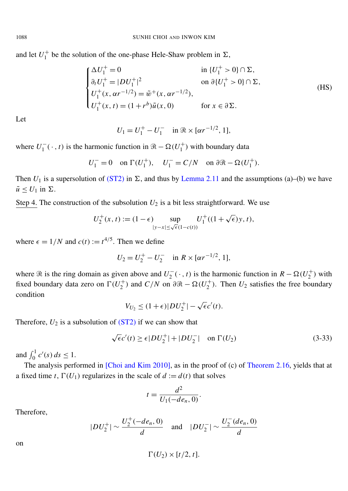and let  $U_1^+$  $_1^+$  be the solution of the one-phase Hele-Shaw problem in  $\Sigma$ ,

$$
\begin{cases}\n\Delta U_1^+ = 0 & \text{in } \{U_1^+ > 0\} \cap \Sigma, \\
\partial_t U_1^+ = |DU_1^+|^2 & \text{on } \partial_t U_1^+ > 0\} \cap \Sigma, \\
U_1^+(x, \alpha r^{-1/2}) = \tilde{w}^+(x, \alpha r^{-1/2}), \\
U_1^+(x, t) = (1 + r^b)\tilde{u}(x, 0) & \text{for } x \in \partial \Sigma.\n\end{cases}
$$
\n(HS)

Let

$$
U_1 = U_1^+ - U_1^- \quad \text{in } \Re \times [\alpha r^{-1/2}, 1],
$$

where  $U_1^ \overline{u}_1^-(\cdot, t)$  is the harmonic function in  $\Re$  –  $\Omega(U_1^+)$  $j_1^{\dagger}$ ) with boundary data

$$
U_1^- = 0 \quad \text{on } \Gamma(U_1^+), \quad U_1^- = C/N \quad \text{on } \partial \mathcal{R} - \Omega(U_1^+).
$$

Then  $U_1$  is a supersolution of [\(ST2\)](#page-1-2) in  $\Sigma$ , and thus by [Lemma 2.11](#page-10-3) and the assumptions (a)–(b) we have  $\tilde{u}$  <  $U_1$  in  $\Sigma$ .

Step 4. The construction of the subsolution  $U_2$  is a bit less straightforward. We use

$$
U_2^+(x,t) := (1 - \epsilon) \sup_{|y - x| \le \sqrt{\epsilon}(1 - c(t))} U_1^+((1 + \sqrt{\epsilon})y, t),
$$

where  $\epsilon = 1/N$  and  $c(t) := t^{4/5}$ . Then we define

$$
U_2 = U_2^+ - U_2^- \quad \text{in } R \times [\alpha r^{-1/2}, 1],
$$

where  $\Re$  is the ring domain as given above and  $U_2^ 2^-(\cdot, t)$  is the harmonic function in  $R - \Omega(U_2^+)$  $_2^{\text{+}}$ ) with fixed boundary data zero on  $\Gamma(U_2^+)$  $2^{\text{+}}$ ) and *C*/*N* on  $\partial \Re -\Omega(U_2^+)$  $U_2^+$ ). Then  $U_2$  satisfies the free boundary condition

<span id="page-26-0"></span>
$$
V_{U_2} \leq (1+\epsilon)|DU_2^+|-\sqrt{\epsilon}c'(t).
$$

Therefore,  $U_2$  is a subsolution of  $(ST2)$  if we can show that

$$
\sqrt{\epsilon}c'(t) \ge \epsilon |DU_2^+| + |DU_2^-| \quad \text{on } \Gamma(U_2)
$$
 (3-33)

and  $\int_0^1 c'(s) ds \leq 1$ .

The analysis performed in [\[Choi and Kim 2010\]](#page-40-5), as in the proof of (c) of [Theorem 2.16,](#page-11-0) yields that at a fixed time *t*,  $\Gamma(U_1)$  regularizes in the scale of  $d := d(t)$  that solves

$$
t = \frac{d^2}{U_1(-de_n, 0)}.
$$

Therefore,

$$
|DU_2^+| \sim \frac{U_2^+(-de_n, 0)}{d}
$$
 and  $|DU_2^-| \sim \frac{U_2^-(de_n, 0)}{d}$ 

on

$$
\Gamma(U_2)\times [t/2, t].
$$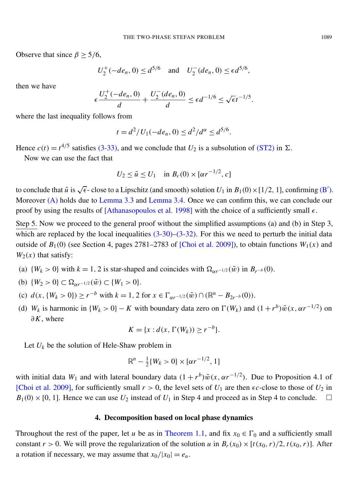Observe that since  $\beta \geq 5/6$ ,

 $U_2^+$  $2^{+}(-de_n, 0) \leq d^{5/6}$  and  $U_2^{-}$  $\sum_{2}^{3} (de_n, 0) \leq \epsilon d^{5/6},$ 

then we have

$$
\epsilon \frac{U_2^+(-de_n,0)}{d} + \frac{U_2^-(de_n,0)}{d} \le \epsilon d^{-1/6} \le \sqrt{\epsilon}t^{-1/5}.
$$

where the last inequality follows from

$$
t = d^2/U_1(-de_n, 0) \le d^2/d^{\alpha} \le d^{5/6}.
$$

Hence  $c(t) = t^{4/5}$  satisfies [\(3-33\),](#page-26-0) and we conclude that  $U_2$  is a subsolution of [\(ST2\)](#page-1-2) in  $\Sigma$ .

Now we can use the fact that

$$
U_2 \le \tilde{u} \le U_1
$$
 in  $B_c(0) \times [\alpha r^{-1/2}, c]$ 

to conclude that  $\tilde{u}$  is  $\sqrt{\epsilon}$ -close to a Lipschitz (and smooth) solution  $U_1$  in  $B_1(0) \times [1/2, 1]$ , confirming [\(B](#page-6-0)'). Moreover [\(A\)](#page-5-1) holds due to [Lemma 3.3](#page-15-0) and [Lemma 3.4.](#page-15-1) Once we can confirm this, we can conclude our proof by using the results of [\[Athanasopoulos et al. 1998\]](#page-40-6) with the choice of a sufficiently small  $\epsilon$ .

Step 5. Now we proceed to the general proof without the simplified assumptions (a) and (b) in Step 3, which are replaced by the local inequalities  $(3-30)$ – $(3-32)$ . For this we need to perturb the initial data outside of  $B_1(0)$  (see Section 4, pages 2781–2783 of [\[Choi et al. 2009\]](#page-40-4)), to obtain functions  $W_1(x)$  and  $W_2(x)$  that satisfy:

- (a)  $\{W_k > 0\}$  with  $k = 1, 2$  is star-shaped and coincides with  $\Omega_{\alpha r^{-1/2}}(\tilde{w})$  in  $B_{r^{-b}}(0)$ .
- (b)  $\{W_2 > 0\} \subset \Omega_{\alpha r^{-1/2}}(\tilde{w}) \subset \{W_1 > 0\}.$
- (c)  $d(x, \{W_k > 0\}) \ge r^{-b}$  with  $k = 1, 2$  for  $x \in \Gamma_{\alpha r^{-1/2}}(\tilde{w}) \cap (\mathbb{R}^n B_{2r^{-b}}(0)).$
- (d) *W<sub>k</sub>* is harmonic in  $\{W_k > 0\} K$  with boundary data zero on  $\Gamma(W_k)$  and  $(1 + r^b)\tilde{w}(x, \alpha r^{-1/2})$  on ∂*K*, where

$$
K = \{x : d(x, \Gamma(W_k)) \ge r^{-b}\}.
$$

Let  $U_k$  be the solution of Hele-Shaw problem in

$$
\mathbb{R}^n - \frac{1}{2} \{ W_k > 0 \} \times [\alpha r^{-1/2}, 1]
$$

with initial data  $W_1$  and with lateral boundary data  $(1 + r^b)\tilde{w}(x, \alpha r^{-1/2})$ . Due to Proposition 4.1 of [\[Choi et al. 2009\]](#page-40-4), for sufficiently small  $r > 0$ , the level sets of  $U_1$  are then  $\epsilon c$ -close to those of  $U_2$  in  $B_1(0) \times [0, 1]$ . Hence we can use  $U_2$  instead of  $U_1$  in Step 4 and proceed as in Step 4 to conclude.

#### 4. Decomposition based on local phase dynamics

<span id="page-27-0"></span>Throughout the rest of the paper, let *u* be as in [Theorem 1.1,](#page-4-1) and fix  $x_0 \in \Gamma_0$  and a sufficiently small constant  $r > 0$ . We will prove the regularization of the solution *u* in  $B_r(x_0) \times [t(x_0, r)/2, t(x_0, r)]$ . After a rotation if necessary, we may assume that  $x_0/|x_0| = e_n$ .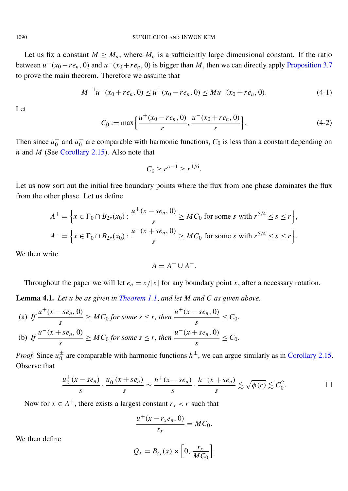Let us fix a constant  $M \geq M_n$ , where  $M_n$  is a sufficiently large dimensional constant. If the ratio between  $u^+(x_0 - r e_n, 0)$  and  $u^-(x_0 + r e_n, 0)$  is bigger than *M*, then we can directly apply [Proposition 3.7](#page-22-0) to prove the main theorem. Therefore we assume that

$$
M^{-1}u^{-}(x_{0}+re_{n}, 0) \le u^{+}(x_{0}-re_{n}, 0) \le Mu^{-}(x_{0}+re_{n}, 0). \tag{4-1}
$$

<span id="page-28-2"></span>Let

<span id="page-28-1"></span>
$$
C_0 := \max\left\{\frac{u^+(x_0 - re_n, 0)}{r}, \frac{u^-(x_0 + re_n, 0)}{r}\right\}.
$$
 (4-2)

Then since  $u_0^+$  $\frac{1}{0}$  and  $u_0^ \overline{0}$  are comparable with harmonic functions,  $C_0$  is less than a constant depending on *n* and *M* (See [Corollary 2.15\)](#page-11-1). Also note that

$$
C_0 \ge r^{\alpha - 1} \ge r^{1/6}.
$$

Let us now sort out the initial free boundary points where the flux from one phase dominates the flux from the other phase. Let us define

$$
A^{+} = \left\{ x \in \Gamma_0 \cap B_{2r}(x_0) : \frac{u^{+}(x - s e_n, 0)}{s} \geq MC_0 \text{ for some } s \text{ with } r^{5/4} \leq s \leq r \right\},\
$$
  

$$
A^{-} = \left\{ x \in \Gamma_0 \cap B_{2r}(x_0) : \frac{u^{-}(x + s e_n, 0)}{s} \geq MC_0 \text{ for some } s \text{ with } r^{5/4} \leq s \leq r \right\}.
$$

We then write

$$
A = A^+ \cup A^-.
$$

Throughout the paper we will let  $e_n = x/|x|$  for any boundary point *x*, after a necessary rotation.

<span id="page-28-0"></span>Lemma 4.1. *Let u be as given in [Theorem 1.1](#page-4-1)*, *and let M and C as given above.*

(a) If 
$$
\frac{u^+(x-se_n, 0)}{s} \geq MC_0 \text{ for some } s \leq r, \text{ then } \frac{u^+(x-se_n, 0)}{s} \leq C_0.
$$
  
(b) If 
$$
\frac{u^-(x+se_n, 0)}{s} \geq MC_0 \text{ for some } s \leq r, \text{ then } \frac{u^-(x+se_n, 0)}{s} \leq C_0.
$$

*Proof.* Since  $u_0^{\pm}$  $\frac{1}{0}$  are comparable with harmonic functions  $h^{\pm}$ , we can argue similarly as in [Corollary 2.15.](#page-11-1) Observe that

$$
\frac{u_0^+(x-s e_n)}{s} \cdot \frac{u_0^-(x+s e_n)}{s} \sim \frac{h^+(x-s e_n)}{s} \cdot \frac{h^-(x+s e_n)}{s} \lesssim \sqrt{\phi(r)} \lesssim C_0^2.
$$

Now for  $x \in A^+$ , there exists a largest constant  $r_x < r$  such that

$$
\frac{u^+(x-r_x e_n,0)}{r_x}=MC_0.
$$

We then define

$$
Q_x=B_{r_x}(x)\times\left[0,\frac{r_x}{MC_0}\right].
$$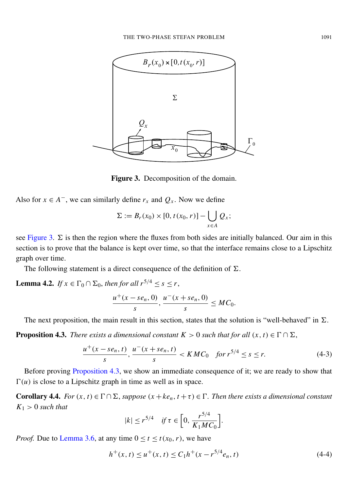<span id="page-29-2"></span>

Figure 3. Decomposition of the domain.

Also for  $x \in A^-$ , we can similarly define  $r_x$  and  $Q_x$ . Now we define

$$
\Sigma := B_r(x_0) \times [0, t(x_0, r)] - \bigcup_{x \in A} Q_x;
$$

see [Figure 3.](#page-29-2)  $\Sigma$  is then the region where the fluxes from both sides are initially balanced. Our aim in this section is to prove that the balance is kept over time, so that the interface remains close to a Lipschitz graph over time.

The following statement is a direct consequence of the definition of  $\Sigma$ .

<span id="page-29-5"></span>**Lemma 4.2.** *If*  $x \in \Gamma_0 \cap \Sigma_0$ , *then for all*  $r^{5/4} \leq s \leq r$ ,  $u^+(x - s e_n, 0)$  $\frac{r}{s} s^{(n+1)}$ ,  $\frac{u^-(x + s e_n, 0)}{s}$  $\frac{\partial c_n, \, \mathcal{O}_f}{\partial s} \leq MC_0.$ 

The next proposition, the main result in this section, states that the solution is "well-behaved" in  $\Sigma$ .

<span id="page-29-1"></span>**Proposition 4.3.** *There exists a dimensional constant*  $K > 0$  *such that for all*  $(x, t) \in \Gamma \cap \Sigma$ ,

$$
\frac{u^+(x-se_n, t)}{s}, \frac{u^-(x+se_n, t)}{s} < KMC_0 \quad \text{for } r^{5/4} \le s \le r. \tag{4-3}
$$

Before proving [Proposition 4.3,](#page-29-1) we show an immediate consequence of it; we are ready to show that  $\Gamma(u)$  is close to a Lipschitz graph in time as well as in space.

<span id="page-29-0"></span>**Corollary 4.4.** *For*  $(x, t) \in \Gamma \cap \Sigma$ , *suppose*  $(x + ke_n, t + \tau) \in \Gamma$ . *Then there exists a dimensional constant*  $K_1 > 0$  *such that* 

<span id="page-29-4"></span><span id="page-29-3"></span>
$$
|k| \le r^{5/4} \quad \text{if } \tau \in \left[0, \frac{r^{5/4}}{K_1 M C_0}\right].
$$

*Proof.* Due to [Lemma 3.6,](#page-17-0) at any time  $0 \le t \le t(x_0, r)$ , we have

$$
h^{+}(x,t) \leq u^{+}(x,t) \leq C_1 h^{+}(x - r^{5/4}e_n, t)
$$
\n(4-4)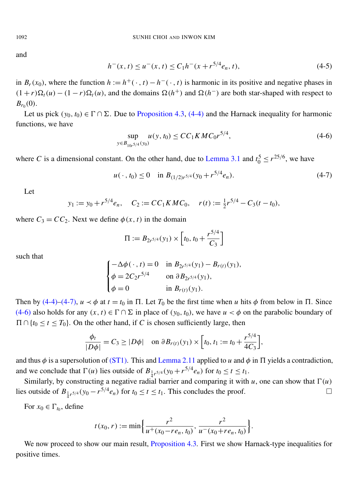<span id="page-30-3"></span>and

$$
h^-(x,t) \le u^-(x,t) \le C_1 h^-(x + r^{5/4}e_n, t),\tag{4-5}
$$

in  $B_r(x_0)$ , where the function  $h := h^+(\cdot, t) - h^-(\cdot, t)$  is harmonic in its positive and negative phases in  $(1 + r)\Omega_t(u) - (1 - r)\Omega_t(u)$ , and the domains  $\Omega(h^+)$  and  $\Omega(h^-)$  are both star-shaped with respect to  $B_{r_0}(0)$ .

Let us pick  $(y_0, t_0) \in \Gamma \cap \Sigma$ . Due to [Proposition 4.3,](#page-29-1) [\(4-4\)](#page-29-3) and the Harnack inequality for harmonic functions, we have

<span id="page-30-2"></span><span id="page-30-1"></span>
$$
\sup_{y \in B_{10r^{5/4}}(y_0)} u(y, t_0) \le CC_1 K M C_0 r^{5/4},\tag{4-6}
$$

where *C* is a dimensional constant. On the other hand, due to [Lemma 3.1](#page-12-0) and  $t_0^5 \le r^{25/6}$ , we have

$$
u(\,\cdot\,,t_0) \le 0 \quad \text{in } B_{(1/2)r^{5/4}}(y_0 + r^{5/4}e_n). \tag{4-7}
$$

Let

$$
y_1 := y_0 + r^{5/4} e_n
$$
,  $C_2 := CC_1 K M C_0$ ,  $r(t) := \frac{1}{2} r^{5/4} - C_3 (t - t_0)$ ,

where  $C_3 = CC_2$ . Next we define  $\phi(x, t)$  in the domain

$$
\Pi := B_{2r^{5/4}}(y_1) \times \left[ t_0, t_0 + \frac{r^{5/4}}{C_3} \right]
$$

such that

$$
\begin{cases}\n-\Delta \phi(\,\cdot\,,t) = 0 & \text{in } B_{2r^{5/4}}(y_1) - B_{r(t)}(y_1), \\
\phi = 2C_2 r^{5/4} & \text{on } \partial B_{2r^{5/4}}(y_1), \\
\phi = 0 & \text{in } B_{r(t)}(y_1).\n\end{cases}
$$

Then by [\(4-4\)–](#page-29-3)[\(4-7\),](#page-30-1)  $u \lt \phi$  at  $t = t_0$  in  $\Pi$ . Let  $T_0$  be the first time when *u* hits  $\phi$  from below in  $\Pi$ . Since [\(4-6\)](#page-30-2) also holds for any  $(x, t) \in \Gamma \cap \Sigma$  in place of  $(y_0, t_0)$ , we have  $u < \phi$  on the parabolic boundary of  $\Pi \cap \{t_0 \le t \le T_0\}$ . On the other hand, if *C* is chosen sufficiently large, then

$$
\frac{\phi_t}{|D\phi|} = C_3 \ge |D\phi| \quad \text{on } \partial B_{r(t)}(y_1) \times \left[t_0, t_1 := t_0 + \frac{r^{5/4}}{4C_3}\right],
$$

and thus  $\phi$  is a supersolution of [\(ST1\).](#page-10-0) This and [Lemma 2.11](#page-10-3) applied to *u* and  $\phi$  in  $\Pi$  yields a contradiction, and we conclude that  $\Gamma(u)$  lies outside of  $B_{\frac{1}{4}r^{5/4}}(y_0 + r^{5/4}e_n)$  for  $t_0 \le t \le t_1$ .

Similarly, by constructing a negative radial barrier and comparing it with *u*, one can show that  $\Gamma(u)$ lies outside of  $B_{\frac{1}{4}r^{5/4}}(y_0 - r^{5/4}e_n)$  for  $t_0 \le t \le t_1$ . This concludes the proof.

For  $x_0 \in \Gamma_{t_0}$ , define

$$
t(x_0,r) := \min\left\{\frac{r^2}{u^+(x_0-re_n,t_0)}, \frac{r^2}{u^-(x_0+re_n,t_0)}\right\}.
$$

<span id="page-30-0"></span>We now proceed to show our main result, [Proposition 4.3.](#page-29-1) First we show Harnack-type inequalities for positive times.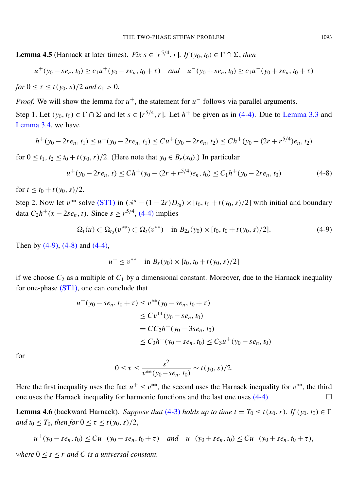**Lemma 4.5** (Harnack at later times). *Fix s*  $\in$  [ $r^{5/4}$ ,  $r$ ]. *If* ( $y_0, t_0$ )  $\in \Gamma \cap \Sigma$ , *then* 

$$
u^+(y_0 - s e_n, t_0) \ge c_1 u^+(y_0 - s e_n, t_0 + \tau) \quad \text{and} \quad u^-(y_0 + s e_n, t_0) \ge c_1 u^-(y_0 + s e_n, t_0 + \tau)
$$

for 
$$
0 \le \tau \le t(y_0, s)/2
$$
 and  $c_1 > 0$ .

*Proof.* We will show the lemma for  $u^+$ , the statement for  $u^-$  follows via parallel arguments.

Step 1. Let  $(y_0, t_0) \in \Gamma \cap \Sigma$  and let  $s \in [r^{5/4}, r]$ . Let  $h^+$  be given as in [\(4-4\).](#page-29-3) Due to [Lemma 3.3](#page-15-0) and [Lemma 3.4,](#page-15-1) we have

$$
h^+(y_0 - 2re_n, t_1) \le u^+(y_0 - 2re_n, t_1) \le Cu^+(y_0 - 2re_n, t_2) \le Ch^+(y_0 - (2r + r^{5/4})e_n, t_2)
$$

for  $0 \le t_1, t_2 \le t_0 + t(y_0, r)/2$ . (Here note that  $y_0 \in B_r(x_0)$ .) In particular

$$
u^{+}(y_{0} - 2re_{n}, t) \leq Ch^{+}(y_{0} - (2r + r^{5/4})e_{n}, t_{0}) \leq C_{1}h^{+}(y_{0} - 2re_{n}, t_{0})
$$
\n(4-8)

for  $t < t_0 + t(v_0, s)/2$ .

Step 2. Now let  $v^{**}$  solve [\(ST1\)](#page-10-0) in  $(\mathbb{R}^n - (1 - 2r)D_{t_0}) \times [t_0, t_0 + t(y_0, s)/2]$  with initial and boundary  $\frac{d}{dx} C_2 h^+(x - 2se_n, t)$ . Since *s* ≥  $r^{5/4}$ , [\(4-4\)](#page-29-3) implies

$$
\Omega_t(u) \subset \Omega_{t_0}(v^{**}) \subset \Omega_t(v^{**}) \quad \text{in } B_{2s}(y_0) \times [t_0, t_0 + t(y_0, s)/2]. \tag{4-9}
$$

Then by  $(4-9)$ ,  $(4-8)$  and  $(4-4)$ ,

<span id="page-31-2"></span><span id="page-31-1"></span>
$$
u^{+} \leq v^{**} \quad \text{in } B_{s}(y_0) \times [t_0, t_0 + t(y_0, s)/2]
$$

if we choose  $C_2$  as a multiple of  $C_1$  by a dimensional constant. Moreover, due to the Harnack inequality for one-phase [\(ST1\),](#page-10-0) one can conclude that

$$
u^+(y_0 - s e_n, t_0 + \tau) \le v^{**}(y_0 - s e_n, t_0 + \tau)
$$
  
\n
$$
\le Cv^{**}(y_0 - s e_n, t_0)
$$
  
\n
$$
= CC_2 h^+(y_0 - 3 s e_n, t_0)
$$
  
\n
$$
\le C_3 h^+(y_0 - s e_n, t_0) \le C_3 u^+(y_0 - s e_n, t_0)
$$

for

$$
0 \leq \tau \leq \frac{s^2}{v^{**}(y_0 - s e_n, t_0)} \sim t(y_0, s)/2.
$$

Here the first inequality uses the fact  $u^+ \le v^{**}$ , the second uses the Harnack inequality for  $v^{**}$ , the third one uses the Harnack inequality for harmonic functions and the last one uses  $(4-4)$ .

<span id="page-31-0"></span>**Lemma 4.6** (backward Harnack). *Suppose that* [\(4-3\)](#page-29-4) *holds up to time*  $t = T_0 \le t(x_0, r)$ *. If*  $(y_0, t_0) \in \Gamma$ *and*  $t_0 \leq T_0$ *, then for*  $0 \leq \tau \leq t(y_0, s)/2$ ,

$$
u^+(y_0 - s e_n, t_0) \leq Cu^+(y_0 - s e_n, t_0 + \tau) \quad \text{and} \quad u^-(y_0 + s e_n, t_0) \leq Cu^-(y_0 + s e_n, t_0 + \tau),
$$

*where*  $0 \leq s \leq r$  *and C is a universal constant.*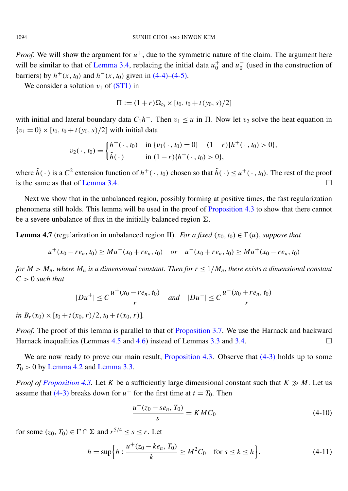*Proof.* We will show the argument for  $u^+$ , due to the symmetric nature of the claim. The argument here will be similar to that of [Lemma 3.4,](#page-15-1) replacing the initial data  $u_0^+$  $\frac{1}{0}$  and  $u_0^ <sub>0</sub><sup>-</sup>$  (used in the construction of</sub> barriers) by  $h^+(x, t_0)$  and  $h^-(x, t_0)$  given in [\(4-4\)](#page-29-3)[–\(4-5\).](#page-30-3)

We consider a solution  $v_1$  of  $(ST1)$  in

$$
\Pi := (1+r)\Omega_{t_0} \times [t_0, t_0 + t(y_0, s)/2]
$$

with initial and lateral boundary data  $C_1h^-$ . Then  $v_1 \le u$  in  $\Pi$ . Now let  $v_2$  solve the heat equation in  ${v_1 = 0} \times [t_0, t_0 + t(y_0, s)/2]$  with initial data

$$
v_2(\,\cdot\,,t_0) = \begin{cases} h^+(\,\cdot\,,t_0) & \text{in } \{v_1(\,\cdot\,,t_0) = 0\} - (1-r)\{h^+(\,\cdot\,,t_0) > 0\}, \\ \tilde{h}(\,\cdot\,) & \text{in } (1-r)\{h^+(\,\cdot\,,t_0) > 0\}, \end{cases}
$$

where  $\tilde{h}(\cdot)$  is a  $C^2$  extension function of  $h^+(\cdot, t_0)$  chosen so that  $\tilde{h}(\cdot) \leq u^+(\cdot, t_0)$ . The rest of the proof is the same as that of [Lemma 3.4.](#page-15-1)

Next we show that in the unbalanced region, possibly forming at positive times, the fast regularization phenomena still holds. This lemma will be used in the proof of [Proposition 4.3](#page-29-1) to show that there cannot be a severe unbalance of flux in the initially balanced region  $\Sigma$ .

<span id="page-32-0"></span>**Lemma 4.7** (regularization in unbalanced region II). *For a fixed* ( $x_0, t_0$ )  $\in \Gamma(u)$ , *suppose that* 

*u*<sup>+</sup>(*x*<sub>0</sub> − *re*<sub>*n*</sub>, *t*<sub>0</sub>) ≥ *Mu*<sup>−</sup>(*x*<sub>0</sub> + *re*<sub>*n*</sub>, *t*<sub>0</sub>) *or u*<sup>−</sup>(*x*<sub>0</sub> + *re*<sub>*n*</sub>, *t*<sub>0</sub>) ≥ *Mu*<sup>+</sup>(*x*<sub>0</sub> − *re*<sub>*n*</sub>, *t*<sub>0</sub>)

*for*  $M > M_n$ , where  $M_n$  *is a dimensional constant. Then for*  $r \leq 1/M_n$ , *there exists a dimensional constant C* > 0 *such that*

$$
|Du^{+}| \leq C \frac{u^{+}(x_0 - r e_n, t_0)}{r} \quad \text{and} \quad |Du^{-}| \leq C \frac{u^{-}(x_0 + r e_n, t_0)}{r}
$$

*in*  $B_r(x_0) \times [t_0 + t(x_0, r)/2, t_0 + t(x_0, r)].$ 

*Proof.* The proof of this lemma is parallel to that of [Proposition 3.7.](#page-22-0) We use the Harnack and backward Harnack inequalities (Lemmas [4.5](#page-30-0) and [4.6\)](#page-31-0) instead of Lemmas [3.3](#page-15-0) and [3.4.](#page-15-1)  $\Box$ 

We are now ready to prove our main result, [Proposition 4.3.](#page-29-1) Observe that  $(4-3)$  holds up to some  $T_0 > 0$  by [Lemma 4.2](#page-29-5) and [Lemma 3.3.](#page-15-0)

*Proof of [Proposition 4.3.](#page-29-1)* Let *K* be a sufficiently large dimensional constant such that  $K \gg M$ . Let us assume that [\(4-3\)](#page-29-4) breaks down for  $u^+$  for the first time at  $t = T_0$ . Then

<span id="page-32-1"></span>
$$
\frac{u^+(z_0 - s e_n, T_0)}{s} = K M C_0 \tag{4-10}
$$

for some  $(z_0, T_0) \in \Gamma \cap \Sigma$  and  $r^{5/4} \leq s \leq r$ . Let

$$
h = \sup\Big\{ h : \frac{u^+(z_0 - ke_n, T_0)}{k} \ge M^2 C_0 \quad \text{for } s \le k \le h \Big\}.
$$
 (4-11)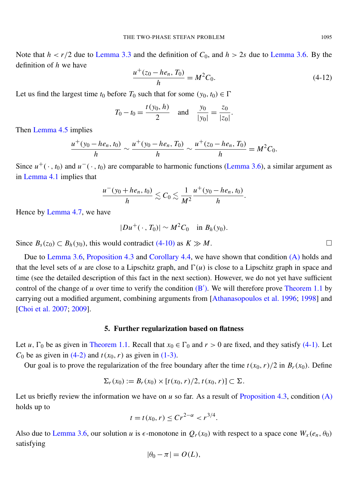Note that  $h < r/2$  due to [Lemma 3.3](#page-15-0) and the definition of  $C_0$ , and  $h > 2s$  due to [Lemma 3.6.](#page-17-0) By the definition of *h* we have

$$
\frac{u^+(z_0 - he_n, T_0)}{h} = M^2 C_0.
$$
\n(4-12)

Let us find the largest time  $t_0$  before  $T_0$  such that for some  $(y_0, t_0) \in \Gamma$ 

$$
T_0 - t_0 = \frac{t(y_0, h)}{2}
$$
 and  $\frac{y_0}{|y_0|} = \frac{z_0}{|z_0|}$ .

Then [Lemma 4.5](#page-30-0) implies

$$
\frac{u^+(y_0-he_n,t_0)}{h} \sim \frac{u^+(y_0-he_n,T_0)}{h} \sim \frac{u^+(z_0-he_n,T_0)}{h} = M^2C_0.
$$

Since  $u^+(\cdot, t_0)$  and  $u^-(\cdot, t_0)$  are comparable to harmonic functions [\(Lemma 3.6\)](#page-17-0), a similar argument as in [Lemma 4.1](#page-28-0) implies that

$$
\frac{u^-(y_0+he_n,t_0)}{h}\lesssim C_0\lesssim \frac{1}{M^2}\frac{u^+(y_0-he_n,t_0)}{h}.
$$

Hence by [Lemma 4.7,](#page-32-0) we have

$$
|Du^+(\cdot,T_0)|\sim M^2C_0 \quad \text{in } B_h(y_0).
$$

Since  $B_s(z_0)$  ⊂  $B_h(y_0)$ , this would contradict [\(4-10\)](#page-32-1) as  $K \gg M$ . □

Due to [Lemma 3.6,](#page-17-0) [Proposition 4.3](#page-29-1) and [Corollary 4.4,](#page-29-0) we have shown that condition [\(A\)](#page-5-1) holds and that the level sets of *u* are close to a Lipschitz graph, and  $\Gamma(u)$  is close to a Lipschitz graph in space and time (see the detailed description of this fact in the next section). However, we do not yet have sufficient control of the change of  $u$  over time to verify the condition  $(B')$  $(B')$ . We will therefore prove [Theorem 1.1](#page-4-1) by carrying out a modified argument, combining arguments from [\[Athanasopoulos et al. 1996;](#page-40-0) [1998\]](#page-40-6) and [\[Choi et al. 2007;](#page-40-3) [2009\]](#page-40-4).

#### 5. Further regularization based on flatness

<span id="page-33-0"></span>Let *u*,  $\Gamma_0$  be as given in [Theorem 1.1.](#page-4-1) Recall that  $x_0 \in \Gamma_0$  and  $r > 0$  are fixed, and they satisfy [\(4-1\).](#page-28-1) Let  $C_0$  be as given in [\(4-2\)](#page-28-2) and  $t(x_0, r)$  as given in [\(1-3\).](#page-4-0)

Our goal is to prove the regularization of the free boundary after the time  $t(x_0, r)/2$  in  $B_r(x_0)$ . Define

$$
\Sigma_r(x_0) := B_r(x_0) \times [t(x_0, r)/2, t(x_0, r)] \subset \Sigma.
$$

Let us briefly review the information we have on  $u$  so far. As a result of [Proposition 4.3,](#page-29-1) condition  $(A)$ holds up to

$$
t = t(x_0, r) \le Cr^{2-\alpha} < r^{3/4}.
$$

Also due to [Lemma 3.6,](#page-17-0) our solution *u* is  $\epsilon$ -monotone in  $Q_r(x_0)$  with respect to a space cone  $W_x(e_n, \theta_0)$ satisfying

$$
|\theta_0-\pi|=O(L),
$$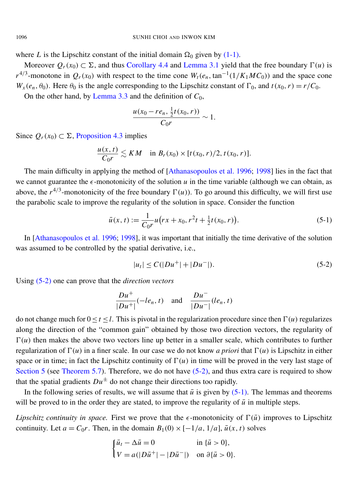where *L* is the Lipschitz constant of the initial domain  $\Omega_0$  given by [\(1-1\).](#page-3-1)

Moreover  $O_r(x_0) \subset \Sigma$ , and thus [Corollary 4.4](#page-29-0) and [Lemma 3.1](#page-12-0) yield that the free boundary  $\Gamma(u)$  is  $r^{4/3}$ -monotone in  $Q_r(x_0)$  with respect to the time cone  $W_t(e_n, \tan^{-1}(1/K_1MC_0))$  and the space cone  $W_x(e_n, \theta_0)$ . Here  $\theta_0$  is the angle corresponding to the Lipschitz constant of  $\Gamma_0$ , and  $t(x_0, r) = r/C_0$ .

On the other hand, by [Lemma 3.3](#page-15-0) and the definition of  $C_0$ ,

$$
\frac{u(x_0-re_n,\frac{1}{2}t(x_0,r))}{C_0r}\sim 1.
$$

Since  $Q_r(x_0)$  ⊂ ∑, [Proposition 4.3](#page-29-1) implies

$$
\frac{u(x,t)}{C_0r}\lesssim KM \quad \text{in } B_r(x_0)\times [t(x_0,r)/2,t(x_0,r)].
$$

The main difficulty in applying the method of [\[Athanasopoulos et al. 1996;](#page-40-0) [1998\]](#page-40-6) lies in the fact that we cannot guarantee the  $\epsilon$ -monotonicity of the solution *u* in the time variable (although we can obtain, as above, the  $r^{4/3}$ -monotonicity of the free boundary  $\Gamma(u)$ ). To go around this difficulty, we will first use the parabolic scale to improve the regularity of the solution in space. Consider the function

$$
\bar{u}(x,t) := \frac{1}{C_0 r} u(rx + x_0, r^2 t + \frac{1}{2} t(x_0, r)).
$$
\n(5-1)

In [\[Athanasopoulos et al. 1996;](#page-40-0) [1998\]](#page-40-6), it was important that initially the time derivative of the solution was assumed to be controlled by the spatial derivative, i.e.,

<span id="page-34-1"></span><span id="page-34-0"></span>
$$
|u_t| \le C(|Du^+| + |Du^-|). \tag{5-2}
$$

Using [\(5-2\)](#page-34-0) one can prove that the *direction vectors*

$$
\frac{Du^+}{|Du^+|}(-le_n, t) \quad \text{and} \quad \frac{Du^-}{|Du^-|}(le_n, t)
$$

do not change much for  $0 \le t \le l$ . This is pivotal in the regularization procedure since then  $\Gamma(u)$  regularizes along the direction of the "common gain" obtained by those two direction vectors, the regularity of  $\Gamma(u)$  then makes the above two vectors line up better in a smaller scale, which contributes to further regularization of  $\Gamma(u)$  in a finer scale. In our case we do not know *a priori* that  $\Gamma(u)$  is Lipschitz in either space or in time; in fact the Lipschitz continuity of  $\Gamma(u)$  in time will be proved in the very last stage of [Section 5](#page-33-0) (see [Theorem 5.7\)](#page-37-1). Therefore, we do not have [\(5-2\),](#page-34-0) and thus extra care is required to show that the spatial gradients  $Du^{\pm}$  do not change their directions too rapidly.

In the following series of results, we will assume that  $\bar{u}$  is given by [\(5-1\).](#page-34-1) The lemmas and theorems will be proved to in the order they are stated, to improve the regularity of  $\bar{u}$  in multiple steps.

*Lipschitz continuity in space.* First we prove that the  $\epsilon$ -monotonicity of  $\Gamma(\bar{u})$  improves to Lipschitz continuity. Let  $a = C_0r$ . Then, in the domain  $B_1(0) \times [-1/a, 1/a]$ ,  $\bar{u}(x, t)$  solves

$$
\begin{cases} \bar{u}_t - \Delta \bar{u} = 0 & \text{in } {\{\bar{u} > 0\}}, \\ V = a(|D\bar{u}^+| - |D\bar{u}^-|) & \text{on } \partial {\{\bar{u} > 0\}}. \end{cases}
$$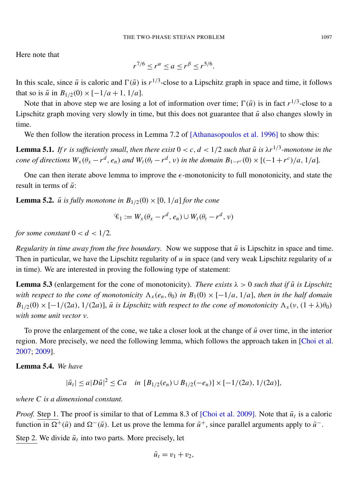Here note that

$$
r^{7/6} \le r^{\alpha} \le a \le r^{\beta} \le r^{5/6}.
$$

In this scale, since  $\bar{u}$  is caloric and  $\Gamma(\bar{u})$  is  $r^{1/3}$ -close to a Lipschitz graph in space and time, it follows that so is  $\bar{u}$  in  $B_{1/2}(0) \times [-1/a + 1, 1/a]$ .

Note that in above step we are losing a lot of information over time;  $\Gamma(\bar{u})$  is in fact  $r^{1/3}$ -close to a Lipschitz graph moving very slowly in time, but this does not guarantee that  $\bar{u}$  also changes slowly in time.

We then follow the iteration process in Lemma 7.2 of [\[Athanasopoulos et al. 1996\]](#page-40-0) to show this:

**Lemma 5.1.** If r is sufficiently small, then there exist  $0 < c$ ,  $d < 1/2$  such that  $\bar{u}$  is  $\lambda r^{1/3}$ -monotone in the cone of directions  $W_x(\theta_x - r^d, e_n)$  and  $W_t(\theta_t - r^d, v)$  in the domain  $B_{1-r^c}(0) \times [(-1+r^c)/a, 1/a]$ .

One can then iterate above lemma to improve the  $\epsilon$ -monotonicity to full monotonicity, and state the result in terms of  $\bar{u}$ :

**Lemma 5.2.** *u is fully monotone in*  $B_{1/2}(0) \times [0, 1/a]$  *for the cone* 

$$
\mathscr{C}_1 := W_x(\theta_x - r^d, e_n) \cup W_t(\theta_t - r^d, v)
$$

*for some constant*  $0 < d < 1/2$ *.* 

*Regularity in time away from the free boundary.* Now we suppose that  $\bar{u}$  is Lipschitz in space and time. Then in particular, we have the Lipschitz regularity of *u* in space (and very weak Lipschitz regularity of *u* in time). We are interested in proving the following type of statement:

**Lemma 5.3** (enlargement for the cone of monotonicity). *There exists*  $\lambda > 0$  *such that if*  $\bar{u}$  *is Lipschitz with respect to the cone of monotonicity*  $\Lambda_x(e_n, \theta_0)$  *in*  $B_1(0) \times [-1/a, 1/a]$ , *then in the half domain*  $B_{1/2}(0) \times [-1/(2a), 1/(2a)]$ ,  $\bar{u}$  *is Lipschitz with respect to the cone of monotonicity*  $\Lambda_x(v, (1 + \lambda)\theta_0)$ *with some unit vector* ν*.*

To prove the enlargement of the cone, we take a closer look at the change of  $\bar{u}$  over time, in the interior region. More precisely, we need the following lemma, which follows the approach taken in [\[Choi et al.](#page-40-3) [2007;](#page-40-3) [2009\]](#page-40-4).

<span id="page-35-0"></span>Lemma 5.4. *We have*

$$
|\bar{u}_t| \le a|D\bar{u}|^2 \le Ca \quad \text{in } [B_{1/2}(e_n) \cup B_{1/2}(-e_n)] \times [-1/(2a), 1/(2a)],
$$

*where C is a dimensional constant.*

*Proof.* Step 1. The proof is similar to that of Lemma 8.3 of [\[Choi et al. 2009\]](#page-40-4). Note that  $\bar{u}_t$  is a caloric function in  $\Omega^+(\bar{u})$  and  $\Omega^-(\bar{u})$ . Let us prove the lemma for  $\bar{u}^+$ , since parallel arguments apply to  $\bar{u}^-$ .

Step 2. We divide  $\bar{u}_t$  into two parts. More precisely, let

$$
\bar{u}_t = v_1 + v_2,
$$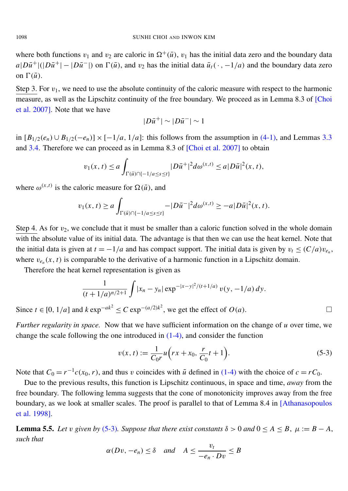where both functions  $v_1$  and  $v_2$  are caloric in  $\Omega^+(\bar{u})$ ,  $v_1$  has the initial data zero and the boundary data  $a|D\bar{u}^+|(|D\bar{u}^+| - |D\bar{u}^-|)$  on  $\Gamma(\bar{u})$ , and  $v_2$  has the initial data  $\bar{u}_t(\cdot, -1/a)$  and the boundary data zero on  $\Gamma(\bar{u})$ .

Step 3. For  $v_1$ , we need to use the absolute continuity of the caloric measure with respect to the harmonic measure, as well as the Lipschitz continuity of the free boundary. We proceed as in Lemma 8.3 of [\[Choi](#page-40-3) [et al. 2007\]](#page-40-3). Note that we have

$$
|D\bar{u}^+|\sim |D\bar{u}^-|\sim 1
$$

in  $[B_{1/2}(e_n) \cup B_{1/2}(-e_n)] \times [-1/a, 1/a]$ : this follows from the assumption in [\(4-1\),](#page-28-1) and Lemmas [3.3](#page-15-0) and [3.4.](#page-15-1) Therefore we can proceed as in Lemma 8.3 of [\[Choi et al. 2007\]](#page-40-3) to obtain

$$
v_1(x,t) \le a \int_{\Gamma(\bar{u}) \cap \{-1/a \le s \le t\}} |D\bar{u}^+|^2 d\omega^{(x,t)} \le a |D\bar{u}|^2(x,t),
$$

where  $\omega^{(x,t)}$  is the caloric measure for  $\Omega(\bar{u})$ , and

$$
v_1(x,t) \ge a \int_{\Gamma(\bar{u}) \cap \{-1/a \le s \le t\}} -|D\bar{u}^{-}|^2 d\omega^{(x,t)} \ge -a|D\bar{u}|^2(x,t).
$$

Step 4. As for  $v_2$ , we conclude that it must be smaller than a caloric function solved in the whole domain with the absolute value of its initial data. The advantage is that then we can use the heat kernel. Note that the initial data is given at  $t = -1/a$  and has compact support. The initial data is given by  $v_t \le (C/a)v_{e_n}$ , where  $v_{e_n}(x, t)$  is comparable to the derivative of a harmonic function in a Lipschitz domain.

Therefore the heat kernel representation is given as

$$
\frac{1}{(t+1/a)^{n/2+1}} \int |x_n - y_n| \exp^{-|x-y|^2/(t+1/a)} v(y, -1/a) dy.
$$

Since *t* ∈ [0, 1/*a*] and *k* exp<sup> $-ak^2$ </sup> ≤ *C* exp<sup> $-(a/2)k^2$ , we get the effect of *O*(*a*). □</sup>

*Further regularity in space.* Now that we have sufficient information on the change of *u* over time, we change the scale following the one introduced in  $(1-4)$ , and consider the function

<span id="page-36-0"></span>
$$
v(x,t) := \frac{1}{C_0 r} u\left(rx + x_0, \frac{r}{C_0}t + 1\right).
$$
 (5-3)

Note that  $C_0 = r^{-1}c(x_0, r)$ , and thus v coincides with  $\tilde{u}$  defined in [\(1-4\)](#page-5-3) with the choice of  $c = rC_0$ .

Due to the previous results, this function is Lipschitz continuous, in space and time, *away* from the free boundary. The following lemma suggests that the cone of monotonicity improves away from the free boundary, as we look at smaller scales. The proof is parallel to that of Lemma 8.4 in [\[Athanasopoulos](#page-40-6) [et al. 1998\]](#page-40-6).

**Lemma 5.5.** *Let* v *given by* [\(5-3\)](#page-36-0)*. Suppose that there exist constants*  $\delta > 0$  *and*  $0 \le A \le B$ ,  $\mu := B - A$ , *such that*

$$
\alpha(Dv, -e_n) \le \delta \quad \text{and} \quad A \le \frac{v_t}{-e_n \cdot Dv} \le B
$$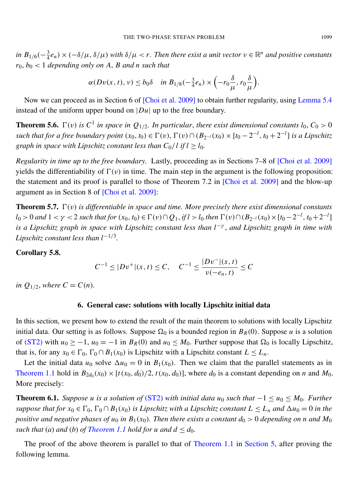*in*  $B_{1/6}$ ( $-\frac{3}{4}$  $\frac{3}{4}e_n$ ) × ( $-\delta/\mu$ ,  $\delta/\mu$ ) *with*  $\delta/\mu < r$ . Then there exist a unit vector  $v \in \mathbb{R}^n$  and positive constants  $r_0, b_0 < 1$  *depending only on A, B and n such that* 

$$
\alpha(Dv(x, t), v) \le b_0 \delta \quad \text{in } B_{1/8}(-\tfrac{3}{4}e_n) \times \left(-r_0 \frac{\delta}{\mu}, r_0 \frac{\delta}{\mu}\right).
$$

Now we can proceed as in Section 6 of [\[Choi et al. 2009\]](#page-40-4) to obtain further regularity, using [Lemma 5.4](#page-35-0) instead of the uniform upper bound on |*Du*| up to the free boundary.

<span id="page-37-0"></span>**Theorem 5.6.**  $\Gamma(v)$  is  $C^1$  in space in  $Q_{1/2}$ . In particular, there exist dimensional constants  $l_0$ ,  $C_0 > 0$ *such that for a free boundary point*  $(x_0, t_0) \in \Gamma(v)$ ,  $\Gamma(v) \cap (B_{2^{-l}}(x_0) \times [t_0 - 2^{-l}, t_0 + 2^{-l}]$  *is a Lipschitz graph in space with Lipschitz constant less than*  $C_0/l$  *if*  $l \ge l_0$ *.* 

*Regularity in time up to the free boundary.* Lastly, proceeding as in Sections 7–8 of [\[Choi et al. 2009\]](#page-40-4) yields the differentiability of  $\Gamma(v)$  in time. The main step in the argument is the following proposition: the statement and its proof is parallel to those of Theorem 7.2 in [\[Choi et al. 2009\]](#page-40-4) and the blow-up argument as in Section 8 of [\[Choi et al. 2009\]](#page-40-4):

<span id="page-37-1"></span>**Theorem 5.7.**  $\Gamma(v)$  *is differentiable in space and time. More precisely there exist dimensional constants*  $l_0 > 0$  and  $1 < \gamma < 2$  such that for  $(x_0, t_0) \in \Gamma(v) \cap Q_1$ , if  $l > l_0$  then  $\Gamma(v) \cap (B_{2^{-l}}(x_0) \times [t_0 - 2^{-l}, t_0 + 2^{-l}]$ *is a Lipschitz graph in space with Lipschitz constant less than l* −γ , *and Lipschitz graph in time with Lipschitz constant less than l*−1/<sup>3</sup> *.*

#### <span id="page-37-2"></span>Corollary 5.8.

$$
C^{-1} \le |Dv^{+}|(x,t) \le C, \quad C^{-1} \le \frac{|Dv^{-}|(x,t)}{v(-e_n,t)} \le C
$$

<span id="page-37-3"></span>*in*  $Q_{1/2}$ *, where*  $C = C(n)$ *.* 

#### 6. General case: solutions with locally Lipschitz initial data

In this section, we present how to extend the result of the main theorem to solutions with locally Lipschitz initial data. Our setting is as follows. Suppose  $\Omega_0$  is a bounded region in  $B_R(0)$ . Suppose *u* is a solution of [\(ST2\)](#page-1-2) with  $u_0 \ge -1$ ,  $u_0 = -1$  in  $B_R(0)$  and  $u_0 \le M_0$ . Further suppose that  $\Omega_0$  is locally Lipschitz, that is, for any  $x_0 \in \Gamma_0$ ,  $\Gamma_0 \cap B_1(x_0)$  is Lipschitz with a Lipschitz constant  $L \leq L_n$ .

Let the initial data  $u_0$  solve  $\Delta u_0 = 0$  in  $B_1(x_0)$ . Then we claim that the parallel statements as in [Theorem 1.1](#page-4-1) hold in  $B_{2d_0}(x_0) \times [t(x_0, d_0)/2, t(x_0, d_0)]$ , where  $d_0$  is a constant depending on *n* and  $M_0$ . More precisely:

<span id="page-37-4"></span>**Theorem 6.1.** Suppose *u* is a solution of [\(ST2\)](#page-1-2) with initial data  $u_0$  such that  $-1 \le u_0 \le M_0$ . Further *suppose that for*  $x_0 \in \Gamma_0$ ,  $\Gamma_0 \cap B_1(x_0)$  *is Lipschitz with a Lipschitz constant*  $L \leq L_n$  *and*  $\Delta u_0 = 0$  *in the positive and negative phases of*  $u_0$  *in*  $B_1(x_0)$ *. Then there exists a constant*  $d_0 > 0$  *depending on n* and  $M_0$ *such that* (*a*) *and* (*b*) *of [Theorem 1.1](#page-4-1) hold for u and*  $d \leq d_0$ *.* 

The proof of the above theorem is parallel to that of [Theorem 1.1](#page-4-1) in [Section 5,](#page-33-0) after proving the following lemma.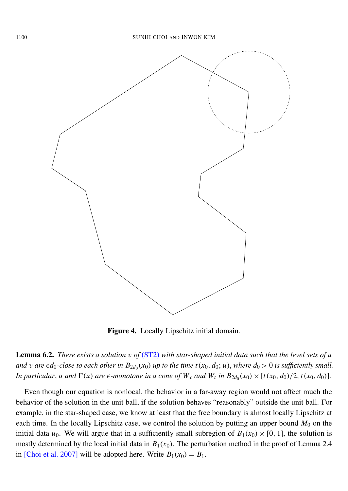

Figure 4. Locally Lipschitz initial domain.

Lemma 6.2. *There exists a solution* v *of* [\(ST2\)](#page-1-2) *with star-shaped initial data such that the level sets of u and* v are  $\epsilon d_0$ -close to each other in  $B_{2d_0}(x_0)$  up to the time  $t(x_0, d_0; u)$ , where  $d_0 > 0$  is sufficiently small. In particular, u and  $\Gamma(u)$  are  $\epsilon$ -monotone in a cone of  $W_x$  and  $W_t$  in  $B_{2d_0}(x_0) \times [t(x_0, d_0)/2, t(x_0, d_0)]$ .

Even though our equation is nonlocal, the behavior in a far-away region would not affect much the behavior of the solution in the unit ball, if the solution behaves "reasonably" outside the unit ball. For example, in the star-shaped case, we know at least that the free boundary is almost locally Lipschitz at each time. In the locally Lipschitz case, we control the solution by putting an upper bound  $M_0$  on the initial data  $u_0$ . We will argue that in a sufficiently small subregion of  $B_1(x_0) \times [0, 1]$ , the solution is mostly determined by the local initial data in  $B_1(x_0)$ . The perturbation method in the proof of Lemma 2.4 in [\[Choi et al. 2007\]](#page-40-3) will be adopted here. Write  $B_1(x_0) = B_1$ .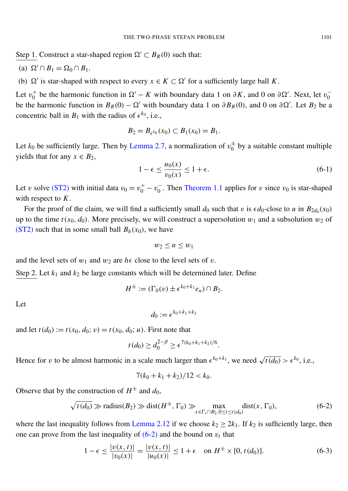Step 1. Construct a star-shaped region  $\Omega' \subset B_R(0)$  such that:

(a) 
$$
\Omega' \cap B_1 = \Omega_0 \cap B_1
$$
.

(b)  $\Omega'$  is star-shaped with respect to every  $x \in K \subset \Omega'$  for a sufficiently large ball K.

Let  $v_0^+$  $\frac{1}{0}$  be the harmonic function in  $\Omega' - K$  with boundary data 1 on  $\partial K$ , and 0 on  $\partial \Omega'$ . Next, let  $v_0^ \boldsymbol{0}$ be the harmonic function in  $B_R(0) - \Omega'$  with boundary data 1 on  $\partial B_R(0)$ , and 0 on  $\partial \Omega'$ . Let  $B_2$  be a concentric ball in  $B_1$  with the radius of  $\epsilon^{k_0}$ , i.e.,

$$
B_2 = B_{\epsilon^{k_0}}(x_0) \subset B_1(x_0) = B_1.
$$

Let  $k_0$  be sufficiently large. Then by [Lemma 2.7,](#page-9-1) a normalization of  $v_0^{\pm}$  $_0^{\pm}$  by a suitable constant multiple yields that for any  $x \in B_2$ ,

$$
1 - \epsilon \le \frac{u_0(x)}{v_0(x)} \le 1 + \epsilon. \tag{6-1}
$$

Let v solve [\(ST2\)](#page-1-2) with initial data  $v_0 = v_0^+ - v_0^ \overline{0}$ . Then [Theorem 1.1](#page-4-1) applies for v since  $v_0$  is star-shaped with respect to *K*.

For the proof of the claim, we will find a sufficiently small  $d_0$  such that  $v$  is  $\epsilon d_0$ -close to  $u$  in  $B_{2d_0}(x_0)$ up to the time  $t(x_0, d_0)$ . More precisely, we will construct a supersolution  $w_1$  and a subsolution  $w_2$  of [\(ST2\)](#page-1-2) such that in some small ball  $B_h(x_0)$ , we have

$$
w_2 \leq u \leq w_1
$$

and the level sets of  $w_1$  and  $w_2$  are  $h \in \text{close}$  to the level sets of  $v$ .

Step 2. Let  $k_1$  and  $k_2$  be large constants which will be determined later. Define

$$
H^{\pm} := (\Gamma_0(v) \pm \epsilon^{k_0 + k_1} e_n) \cap B_2.
$$

Let

$$
d_0 := \epsilon^{k_0+k_1+k_2}
$$

and let  $t(d_0) := t(x_0, d_0; v) = t(x_0, d_0; u)$ . First note that

$$
t(d_0) \geq d_0^{2-\beta} \geq \epsilon^{7(k_0+k_1+k_2)/6}.
$$

Hence for v to be almost harmonic in a scale much larger than  $\epsilon^{k_0+k_1}$ , we need  $\sqrt{t(d_0)} > \epsilon^{k_0}$ , i.e.,

<span id="page-39-0"></span>
$$
7(k_0 + k_1 + k_2)/12 < k_0.
$$

Observe that by the construction of  $H^{\pm}$  and  $d_0$ ,

$$
\sqrt{t(d_0)} \gg \text{radius}(B_2) \gg \text{dist}(H^{\pm}, \Gamma_0) \gg \max_{x \in \Gamma_t \cap B_2, 0 \le t \le t(d_0)} \text{dist}(x, \Gamma_0),\tag{6-2}
$$

where the last inequality follows from [Lemma 2.12](#page-10-4) if we choose  $k_2 \geq 2k_1$ . If  $k_2$  is sufficiently large, then one can prove from the last inequality of  $(6-2)$  and the bound on  $v_t$  that

$$
1 - \epsilon \le \frac{|v(x, t)|}{|v_0(x)|} = \frac{|v(x, t)|}{|u_0(x)|} \le 1 + \epsilon \quad \text{on } H^{\pm} \times [0, t(d_0)].
$$
 (6-3)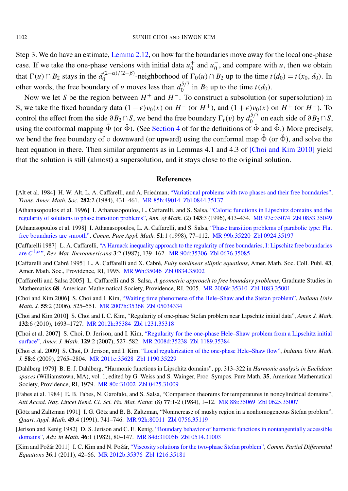Step 3. We do have an estimate, [Lemma 2.12,](#page-10-4) on how far the boundaries move away for the local one-phase case. If we take the one-phase versions with initial data  $u_0^+$  $\frac{1}{0}$  and  $u_0^ <sub>0</sub>$ , and compare with *u*, then we obtain</sub> that  $\Gamma(u) \cap B_2$  stays in the  $d_0^{(2-\alpha)/(2-\beta)}$  $\int_0^{(2-\alpha)/(2-\beta)}$ -neighborhood of  $\Gamma_0(u) \cap B_2$  up to the time  $t(d_0) = t(x_0, d_0)$ . In other words, the free boundary of *u* moves less than  $d_0^{5/7}$  $\int_0^{3/7}$  in  $B_2$  up to the time  $t(d_0)$ .

Now we let *S* be the region between  $H^+$  and  $H^-$ . To construct a subsolution (or supersolution) in S, we take the fixed boundary data  $(1 - \epsilon)v_0(x)$  on  $H^-$  (or  $H^+$ ), and  $(1 + \epsilon)v_0(x)$  on  $H^+$  (or  $H^-$ ). To control the effect from the side  $\partial B_2 \cap S$ , we bend the free boundary  $\Gamma_t(v)$  by  $d_0^{5/7}$  $\int_{0}^{5/7}$  on each side of  $\partial B_2 \cap S$ , using the conformal mapping  $\hat{\Phi}$  (or  $\check{\Phi}$ ). (See [Section 4](#page-27-0) of for the definitions of  $\hat{\Phi}$  and  $\check{\Phi}$ .) More precisely, we bend the free boundary of v downward (or upward) using the conformal map  $\hat{\Phi}$  (or  $\check{\Phi}$ ), and solve the heat equation in there. Then similar arguments as in Lemmas 4.1 and 4.3 of [\[Choi and Kim 2010\]](#page-40-5) yield that the solution is still (almost) a supersolution, and it stays close to the original solution.

#### **References**

- <span id="page-40-14"></span>[Alt et al. 1984] H. W. Alt, L. A. Caffarelli, and A. Friedman, ["Variational problems with two phases and their free boundaries",](http://dx.doi.org/10.2307/1999245) *Trans. Amer. Math. Soc.* 282:2 (1984), 431–461. [MR 85h:49014](http://msp.org/idx/mr/85h:49014) [Zbl 0844.35137](http://msp.org/idx/zbl/0844.35137)
- <span id="page-40-0"></span>[Athanasopoulos et al. 1996] I. Athanasopoulos, L. Caffarelli, and S. Salsa, ["Caloric functions in Lipschitz domains and the](http://dx.doi.org/10.2307/2118531) [regularity of solutions to phase transition problems",](http://dx.doi.org/10.2307/2118531) *Ann. of Math.* (2) 143:3 (1996), 413–434. [MR 97e:35074](http://msp.org/idx/mr/97e:35074) [Zbl 0853.35049](http://msp.org/idx/zbl/0853.35049)
- <span id="page-40-6"></span>[Athanasopoulos et al. 1998] I. Athanasopoulos, L. A. Caffarelli, and S. Salsa, ["Phase transition problems of parabolic type: Flat](http://dx.doi.org/10.1002/(SICI)1097-0312(199801)51:1<77::AID-CPA4>3.3.CO;2-K) [free boundaries are smooth",](http://dx.doi.org/10.1002/(SICI)1097-0312(199801)51:1<77::AID-CPA4>3.3.CO;2-K) *Comm. Pure Appl. Math.* 51:1 (1998), 77–112. [MR 99b:35220](http://msp.org/idx/mr/99b:35220) [Zbl 0924.35197](http://msp.org/idx/zbl/0924.35197)
- <span id="page-40-13"></span>[Caffarelli 1987] L. A. Caffarelli, ["A Harnack inequality approach to the regularity of free boundaries, I: Lipschitz free boundaries](http://dx.doi.org/10.4171/RMI/47) [are](http://dx.doi.org/10.4171/RMI/47) *C*<sup>1,α</sup>", *Rev. Mat. Iberoamericana* 3:2 (1987), 139–162. [MR 90d:35306](http://msp.org/idx/mr/90d:35306) [Zbl 0676.35085](http://msp.org/idx/zbl/0676.35085)
- <span id="page-40-9"></span>[Caffarelli and Cabré 1995] L. A. Caffarelli and X. Cabré, *Fully nonlinear elliptic equations*, Amer. Math. Soc. Coll. Publ. 43, Amer. Math. Soc., Providence, RI, 1995. [MR 96h:35046](http://msp.org/idx/mr/96h:35046) [Zbl 0834.35002](http://msp.org/idx/zbl/0834.35002)
- <span id="page-40-1"></span>[Caffarelli and Salsa 2005] L. Caffarelli and S. Salsa, *A geometric approach to free boundary problems*, Graduate Studies in Mathematics 68, American Mathematical Society, Providence, RI, 2005. [MR 2006k:35310](http://msp.org/idx/mr/2006k:35310) [Zbl 1083.35001](http://msp.org/idx/zbl/1083.35001)
- <span id="page-40-7"></span>[Choi and Kim 2006] S. Choi and I. Kim, ["Waiting time phenomena of the Hele–Shaw and the Stefan problem",](http://dx.doi.org/10.1512/iumj.2006.55.2711) *Indiana Univ. Math. J.* 55:2 (2006), 525–551. [MR 2007h:35368](http://msp.org/idx/mr/2007h:35368) [Zbl 05034334](http://msp.org/idx/zbl/05034334)
- <span id="page-40-5"></span>[Choi and Kim 2010] S. Choi and I. C. Kim, "Regularity of one-phase Stefan problem near Lipschitz initial data", *Amer. J. Math.* 132:6 (2010), 1693–1727. [MR 2012h:35384](http://msp.org/idx/mr/2012h:35384) [Zbl 1231.35318](http://msp.org/idx/zbl/1231.35318)
- <span id="page-40-3"></span>[Choi et al. 2007] S. Choi, D. Jerison, and I. Kim, ["Regularity for the one-phase Hele–Shaw problem from a Lipschitz initial](http://dx.doi.org/10.1353/ajm.2007.0008) [surface",](http://dx.doi.org/10.1353/ajm.2007.0008) *Amer. J. Math.* 129:2 (2007), 527–582. [MR 2008d:35238](http://msp.org/idx/mr/2008d:35238) [Zbl 1189.35384](http://msp.org/idx/zbl/1189.35384)
- <span id="page-40-4"></span>[Choi et al. 2009] S. Choi, D. Jerison, and I. Kim, ["Local regularization of the one-phase Hele–Shaw flow",](http://dx.doi.org/10.1512/iumj.2009.58.3802) *Indiana Univ. Math. J.* 58:6 (2009), 2765–2804. [MR 2011c:35628](http://msp.org/idx/mr/2011c:35628) [Zbl 1190.35229](http://msp.org/idx/zbl/1190.35229)
- <span id="page-40-11"></span>[Dahlberg 1979] B. E. J. Dahlberg, "Harmonic functions in Lipschitz domains", pp. 313–322 in *Harmonic analysis in Euclidean spaces* (Williamstown, MA), vol. 1, edited by G. Weiss and S. Wainger, Proc. Sympos. Pure Math. 35, American Mathematical Society, Providence, RI, 1979. [MR 80c:31002](http://msp.org/idx/mr/80c:31002) [Zbl 0425.31009](http://msp.org/idx/zbl/0425.31009)
- <span id="page-40-10"></span>[Fabes et al. 1984] E. B. Fabes, N. Garofalo, and S. Salsa, "Comparison theorems for temperatures in noncylindrical domains", *Atti Accad. Naz. Lincei Rend. Cl. Sci. Fis. Mat. Natur.* (8) 77:1-2 (1984), 1–12. [MR 88i:35069](http://msp.org/idx/mr/88i:35069) [Zbl 0625.35007](http://msp.org/idx/zbl/0625.35007)
- <span id="page-40-8"></span>[Götz and Zaltzman 1991] I. G. Götz and B. B. Zaltzman, "Nonincrease of mushy region in a nonhomogeneous Stefan problem", *Quart. Appl. Math.* 49:4 (1991), 741–746. [MR 92h:80011](http://msp.org/idx/mr/92h:80011) [Zbl 0756.35119](http://msp.org/idx/zbl/0756.35119)
- <span id="page-40-12"></span>[Jerison and Kenig 1982] D. S. Jerison and C. E. Kenig, ["Boundary behavior of harmonic functions in nontangentially accessible](http://dx.doi.org/10.1016/0001-8708(82)90055-X) [domains",](http://dx.doi.org/10.1016/0001-8708(82)90055-X) *Adv. in Math.* 46:1 (1982), 80–147. [MR 84d:31005b](http://msp.org/idx/mr/84d:31005b) [Zbl 0514.31003](http://msp.org/idx/zbl/0514.31003)
- <span id="page-40-2"></span>[Kim and Požár 2011] I. C. Kim and N. Požár, ["Viscosity solutions for the two-phase Stefan problem",](http://dx.doi.org/10.1080/03605302.2010.526980) *Comm. Partial Differential Equations* 36:1 (2011), 42–66. [MR 2012b:35376](http://msp.org/idx/mr/2012b:35376) [Zbl 1216.35181](http://msp.org/idx/zbl/1216.35181)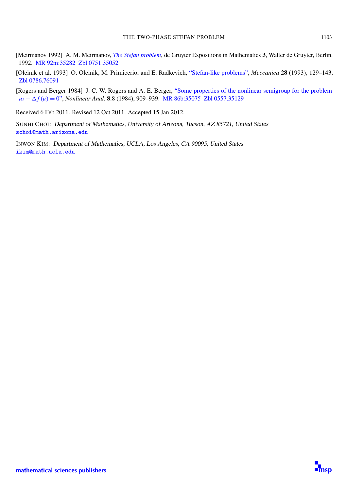- <span id="page-41-0"></span>[Meirmanov 1992] A. M. Meirmanov, *[The Stefan problem](http://dx.doi.org/10.1515/9783110846720.245)*, de Gruyter Expositions in Mathematics 3, Walter de Gruyter, Berlin, 1992. [MR 92m:35282](http://msp.org/idx/mr/92m:35282) [Zbl 0751.35052](http://msp.org/idx/zbl/0751.35052)
- <span id="page-41-1"></span>[Oleinik et al. 1993] O. Oleinik, M. Primicerio, and E. Radkevich, ["Stefan-like problems",](http://dx.doi.org/10.1007/BF01020325) *Meccanica* 28 (1993), 129–143. [Zbl 0786.76091](http://msp.org/idx/zbl/0786.76091)
- <span id="page-41-2"></span>[Rogers and Berger 1984] J. C. W. Rogers and A. E. Berger, ["Some properties of the nonlinear semigroup for the problem](http://dx.doi.org/10.1016/0362-546X(84)90111-1) *u*<sub>t</sub> −  $\Delta f(u)$  = [0",](http://dx.doi.org/10.1016/0362-546X(84)90111-1) *Nonlinear Anal.* 8:8 (1984), 909–939. [MR 86b:35075](http://msp.org/idx/mr/86b:35075) [Zbl 0557.35129](http://msp.org/idx/zbl/0557.35129)

Received 6 Feb 2011. Revised 12 Oct 2011. Accepted 15 Jan 2012.

SUNHI CHOI: Department of Mathematics, University of Arizona, Tucson, AZ 85721, United States [schoi@math.arizona.edu](mailto:schoi@math.arizona.edu)

INWON KIM: Department of Mathematics, UCLA, Los Angeles, CA 90095, United States [ikim@math.ucla.edu](mailto:ikim@math.ucla.edu)

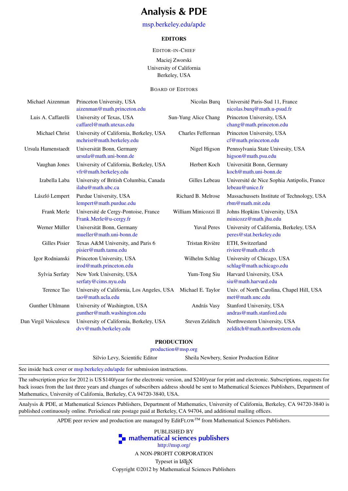### Analysis & PDE

#### [msp.berkeley.edu/apde](http://msp.berkeley.edu/apde)

#### EDITORS

#### EDITOR-IN-CHIEF

Maciej Zworski University of California Berkeley, USA

#### BOARD OF EDITORS

| Michael Aizenman      | Princeton University, USA                  | Nicolas Burg         | Université Paris-Sud 11, France             |
|-----------------------|--------------------------------------------|----------------------|---------------------------------------------|
|                       | aizenman@math.princeton.edu                |                      | nicolas.burq@math.u-psud.fr                 |
| Luis A. Caffarelli    | University of Texas, USA                   | Sun-Yung Alice Chang | Princeton University, USA                   |
|                       | caffarel@math.utexas.edu                   |                      | chang@math.princeton.edu                    |
| Michael Christ        | University of California, Berkeley, USA    | Charles Fefferman    | Princeton University, USA                   |
|                       | mchrist@math.berkeley.edu                  |                      | cf@math.princeton.edu                       |
| Ursula Hamenstaedt    | Universität Bonn, Germany                  | Nigel Higson         | Pennsylvania State Univesity, USA           |
|                       | ursula@math.uni-bonn.de                    |                      | higson@math.psu.edu                         |
| Vaughan Jones         | University of California, Berkeley, USA    | Herbert Koch         | Universität Bonn, Germany                   |
|                       | vfr@math.berkeley.edu                      |                      | koch@math.uni-bonn.de                       |
| Izabella Laba         | University of British Columbia, Canada     | Gilles Lebeau        | Université de Nice Sophia Antipolis, France |
|                       | ilaba@math.ubc.ca                          |                      | lebeau@unice.fr                             |
| László Lempert        | Purdue University, USA                     | Richard B. Melrose   | Massachussets Institute of Technology, USA  |
|                       | lempert@math.purdue.edu                    |                      | rbm@math.mit.edu                            |
| Frank Merle           | Université de Cergy-Pontoise, France       | William Minicozzi II | Johns Hopkins University, USA               |
|                       | Frank.Merle@u-cergy.fr                     |                      | minicozz@math.jhu.edu                       |
| Werner Müller         | Universität Bonn, Germany                  | <b>Yuval Peres</b>   | University of California, Berkeley, USA     |
|                       | mueller@math.uni-bonn.de                   |                      | peres@stat.berkeley.edu                     |
| Gilles Pisier         | Texas A&M University, and Paris 6          | Tristan Rivière      | ETH, Switzerland                            |
|                       | pisier@math.tamu.edu                       |                      | riviere@math.ethz.ch                        |
| Igor Rodnianski       | Princeton University, USA                  | Wilhelm Schlag       | University of Chicago, USA                  |
|                       | irod@math.princeton.edu                    |                      | schlag@math.uchicago.edu                    |
| Sylvia Serfaty        | New York University, USA                   | Yum-Tong Siu         | Harvard University, USA                     |
|                       | serfaty@cims.nyu.edu                       |                      | siu@math.harvard.edu                        |
| Terence Tao           | University of California, Los Angeles, USA | Michael E. Taylor    | Univ. of North Carolina, Chapel Hill, USA   |
|                       | tao@math.ucla.edu                          |                      | met@math.unc.edu                            |
| Gunther Uhlmann       | University of Washington, USA              | András Vasy          | Stanford University, USA                    |
|                       | gunther@math.washington.edu                |                      | andras@math.stanford.edu                    |
| Dan Virgil Voiculescu | University of California, Berkeley, USA    | Steven Zelditch      | Northwestern University, USA                |
|                       | dvv@math.berkeley.edu                      |                      | zelditch@math.northwestern.edu              |
|                       |                                            |                      |                                             |

#### PRODUCTION

[production@msp.org](mailto:production@msp.org)

Silvio Levy, Scientific Editor Sheila Newbery, Senior Production Editor

See inside back cover or [msp.berkeley.edu/apde](http://msp.berkeley.edu/apde) for submission instructions.

The subscription price for 2012 is US \$140/year for the electronic version, and \$240/year for print and electronic. Subscriptions, requests for back issues from the last three years and changes of subscribers address should be sent to Mathematical Sciences Publishers, Department of Mathematics, University of California, Berkeley, CA 94720-3840, USA.

Analysis & PDE, at Mathematical Sciences Publishers, Department of Mathematics, University of California, Berkeley, CA 94720-3840 is published continuously online. Periodical rate postage paid at Berkeley, CA 94704, and additional mailing offices.

APDE peer review and production are managed by EditFLOW™ from Mathematical Sciences Publishers.

PUBLISHED BY **To [mathematical sciences publishers](http://msp.org/)** <http://msp.org/>

A NON-PROFIT CORPORATION

Typeset in LATEX

Copyright ©2012 by Mathematical Sciences Publishers